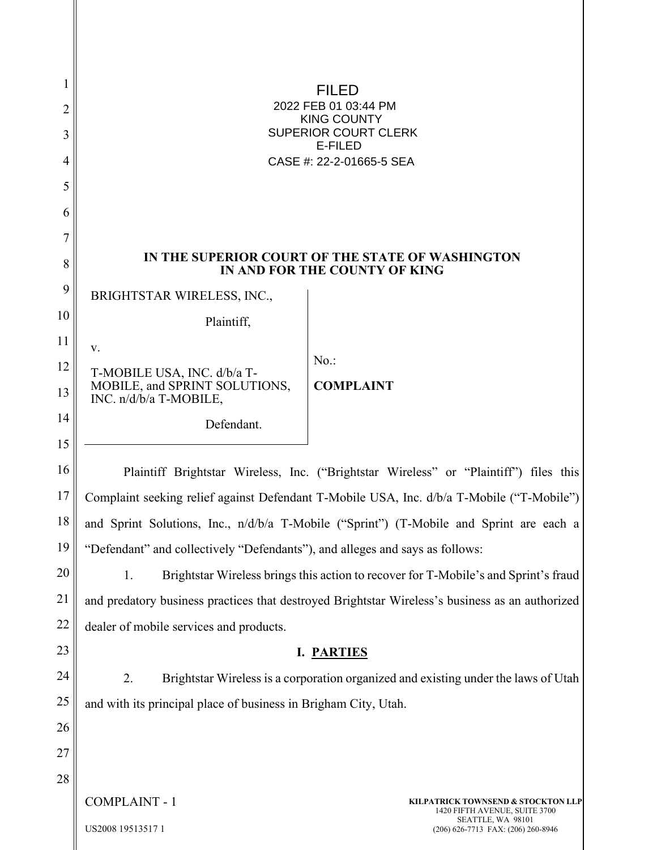| 1<br>$\overline{2}$<br>3<br>4<br>5<br>6<br>7<br>8 |                                                                                                 | 21SK X )<br>GEGGÁRÓÓÁEFÁEHK I ÁÚT<br><b>SOPÕÁÔUWPVŸ</b><br>ÙWÚÒÜQUÜÁÔUWÜVÁÔŠÒÜS<br><b>ÒËZŠÒÖ</b><br>ÔŒLIÒÁNAGGEEGEEFÎ Î Í E AUOCE<br>IN THE SUPERIOR COURT OF THE STATE OF WASHINGTON<br>IN AND FOR THE COUNTY OF KING |
|---------------------------------------------------|-------------------------------------------------------------------------------------------------|------------------------------------------------------------------------------------------------------------------------------------------------------------------------------------------------------------------------|
| 9                                                 | BRIGHTSTAR WIRELESS, INC.,                                                                      |                                                                                                                                                                                                                        |
| 10                                                | Plaintiff,                                                                                      |                                                                                                                                                                                                                        |
| 11                                                | V.                                                                                              |                                                                                                                                                                                                                        |
| 12                                                | T-MOBILE USA, INC. d/b/a T-                                                                     | $No.$ :                                                                                                                                                                                                                |
| 13                                                | MOBILE, and SPRINT SOLUTIONS,<br>INC. n/d/b/a T-MOBILE,                                         | <b>COMPLAINT</b>                                                                                                                                                                                                       |
| 14                                                | Defendant.                                                                                      |                                                                                                                                                                                                                        |
| 15                                                |                                                                                                 |                                                                                                                                                                                                                        |
| 16                                                |                                                                                                 | Plaintiff Brightstar Wireless, Inc. ("Brightstar Wireless" or "Plaintiff") files this                                                                                                                                  |
| 17                                                | Complaint seeking relief against Defendant T-Mobile USA, Inc. d/b/a T-Mobile ("T-Mobile")       |                                                                                                                                                                                                                        |
| 18                                                | and Sprint Solutions, Inc., n/d/b/a T-Mobile ("Sprint") (T-Mobile and Sprint are each a         |                                                                                                                                                                                                                        |
| 19                                                | "Defendant" and collectively "Defendants"), and alleges and says as follows:                    |                                                                                                                                                                                                                        |
| 20                                                | Brightstar Wireless brings this action to recover for T-Mobile's and Sprint's fraud<br>1.       |                                                                                                                                                                                                                        |
| 21                                                | and predatory business practices that destroyed Brightstar Wireless's business as an authorized |                                                                                                                                                                                                                        |
| 22                                                | dealer of mobile services and products.                                                         |                                                                                                                                                                                                                        |
| 23                                                | I. PARTIES                                                                                      |                                                                                                                                                                                                                        |
| 24                                                | 2.                                                                                              | Brightstar Wireless is a corporation organized and existing under the laws of Utah                                                                                                                                     |
| 25                                                | and with its principal place of business in Brigham City, Utah.                                 |                                                                                                                                                                                                                        |
| 26                                                |                                                                                                 |                                                                                                                                                                                                                        |
| 27                                                |                                                                                                 |                                                                                                                                                                                                                        |
| 28                                                |                                                                                                 |                                                                                                                                                                                                                        |
|                                                   | <b>COMPLAINT - 1</b>                                                                            | KILPATRICK TOWNSEND & STOCKTON LLP<br>1420 FIFTH AVENUE, SUITE 3700                                                                                                                                                    |
|                                                   | US2008 19513517 1                                                                               | SEATTLE, WA 98101<br>(206) 626-7713 FAX: (206) 260-8946                                                                                                                                                                |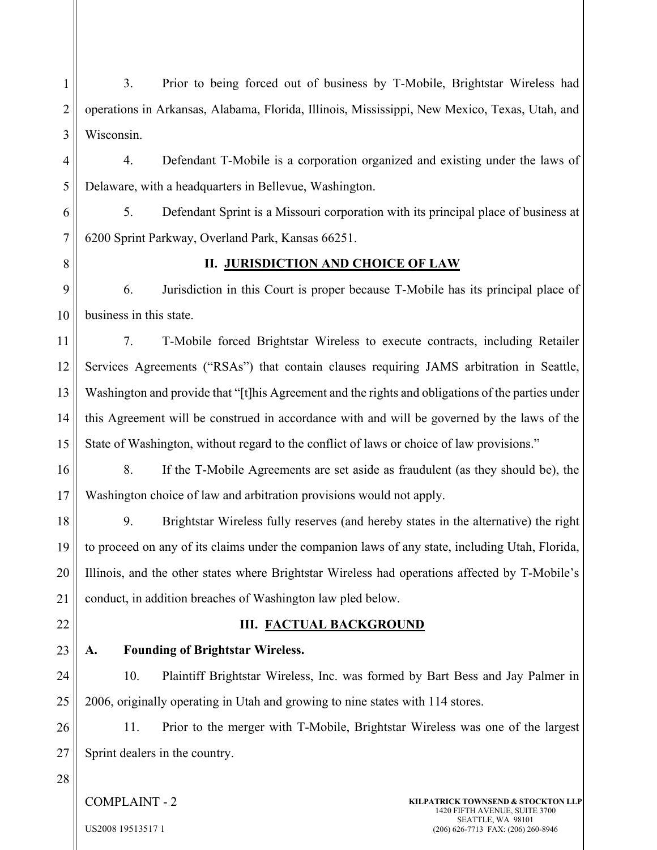1 2 3 4 5 3. Prior to being forced out of business by T-Mobile, Brightstar Wireless had operations in Arkansas, Alabama, Florida, Illinois, Mississippi, New Mexico, Texas, Utah, and Wisconsin. 4. Defendant T-Mobile is a corporation organized and existing under the laws of Delaware, with a headquarters in Bellevue, Washington.

6 7 5. Defendant Sprint is a Missouri corporation with its principal place of business at 6200 Sprint Parkway, Overland Park, Kansas 66251.

8

### **II. JURISDICTION AND CHOICE OF LAW**

9 10 6. Jurisdiction in this Court is proper because T-Mobile has its principal place of business in this state.

11 12 13 14 15 7. T-Mobile forced Brightstar Wireless to execute contracts, including Retailer Services Agreements ("RSAs") that contain clauses requiring JAMS arbitration in Seattle, Washington and provide that "[t]his Agreement and the rights and obligations of the parties under this Agreement will be construed in accordance with and will be governed by the laws of the State of Washington, without regard to the conflict of laws or choice of law provisions."

16 17 8. If the T-Mobile Agreements are set aside as fraudulent (as they should be), the Washington choice of law and arbitration provisions would not apply.

18 19 20 21 9. Brightstar Wireless fully reserves (and hereby states in the alternative) the right to proceed on any of its claims under the companion laws of any state, including Utah, Florida, Illinois, and the other states where Brightstar Wireless had operations affected by T-Mobile's conduct, in addition breaches of Washington law pled below.

22

## **III. FACTUAL BACKGROUND**

23

## **A. Founding of Brightstar Wireless.**

24 25 10. Plaintiff Brightstar Wireless, Inc. was formed by Bart Bess and Jay Palmer in 2006, originally operating in Utah and growing to nine states with 114 stores.

26 27 11. Prior to the merger with T-Mobile, Brightstar Wireless was one of the largest Sprint dealers in the country.

28

COMPLAINT - 2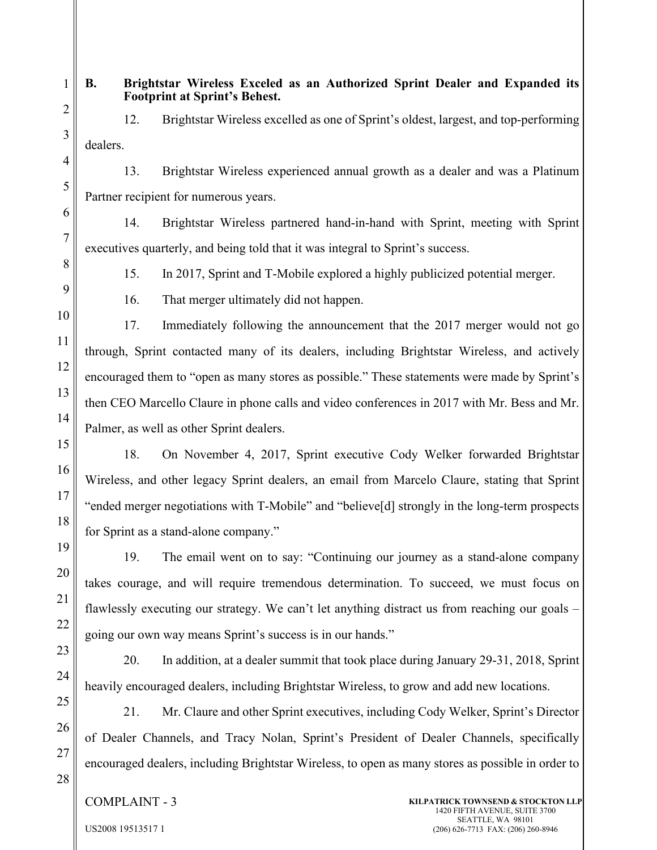# **B. Brightstar Wireless Exceled as an Authorized Sprint Dealer and Expanded its Footprint at Sprint's Behest.**

12. Brightstar Wireless excelled as one of Sprint's oldest, largest, and top-performing dealers.

13. Brightstar Wireless experienced annual growth as a dealer and was a Platinum Partner recipient for numerous years.

14. Brightstar Wireless partnered hand-in-hand with Sprint, meeting with Sprint executives quarterly, and being told that it was integral to Sprint's success.

15. In 2017, Sprint and T-Mobile explored a highly publicized potential merger.

16. That merger ultimately did not happen.

17. Immediately following the announcement that the 2017 merger would not go through, Sprint contacted many of its dealers, including Brightstar Wireless, and actively encouraged them to "open as many stores as possible." These statements were made by Sprint's then CEO Marcello Claure in phone calls and video conferences in 2017 with Mr. Bess and Mr. Palmer, as well as other Sprint dealers.

18. On November 4, 2017, Sprint executive Cody Welker forwarded Brightstar Wireless, and other legacy Sprint dealers, an email from Marcelo Claure, stating that Sprint "ended merger negotiations with T-Mobile" and "believe[d] strongly in the long-term prospects for Sprint as a stand-alone company."

19. The email went on to say: "Continuing our journey as a stand-alone company takes courage, and will require tremendous determination. To succeed, we must focus on flawlessly executing our strategy. We can't let anything distract us from reaching our goals – going our own way means Sprint's success is in our hands."

20. In addition, at a dealer summit that took place during January 29-31, 2018, Sprint heavily encouraged dealers, including Brightstar Wireless, to grow and add new locations.

21. Mr. Claure and other Sprint executives, including Cody Welker, Sprint's Director of Dealer Channels, and Tracy Nolan, Sprint's President of Dealer Channels, specifically encouraged dealers, including Brightstar Wireless, to open as many stores as possible in order to

## COMPLAINT - 3

US2008 19513517 1

28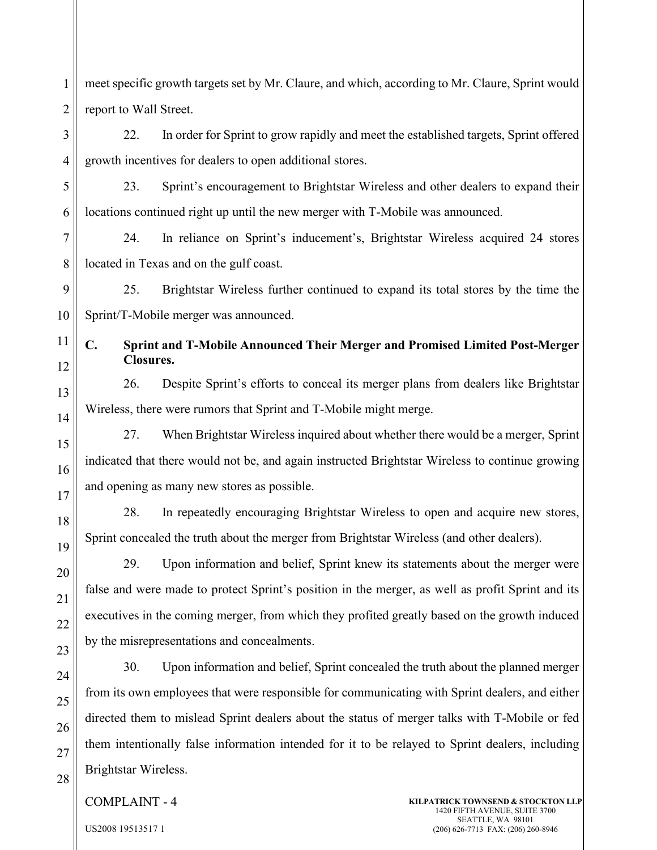meet specific growth targets set by Mr. Claure, and which, according to Mr. Claure, Sprint would report to Wall Street.

3 4 22. In order for Sprint to grow rapidly and meet the established targets, Sprint offered growth incentives for dealers to open additional stores.

5

6

11

12

13

14

15

16

17

18

19

20

21

22

23

24

25

26

27

28

1

2

23. Sprint's encouragement to Brightstar Wireless and other dealers to expand their locations continued right up until the new merger with T-Mobile was announced.

7 8 24. In reliance on Sprint's inducement's, Brightstar Wireless acquired 24 stores located in Texas and on the gulf coast.

9 10 25. Brightstar Wireless further continued to expand its total stores by the time the Sprint/T-Mobile merger was announced.

**C. Sprint and T-Mobile Announced Their Merger and Promised Limited Post-Merger Closures.**

26. Despite Sprint's efforts to conceal its merger plans from dealers like Brightstar Wireless, there were rumors that Sprint and T-Mobile might merge.

27. When Brightstar Wireless inquired about whether there would be a merger, Sprint indicated that there would not be, and again instructed Brightstar Wireless to continue growing and opening as many new stores as possible.

28. In repeatedly encouraging Brightstar Wireless to open and acquire new stores, Sprint concealed the truth about the merger from Brightstar Wireless (and other dealers).

29. Upon information and belief, Sprint knew its statements about the merger were false and were made to protect Sprint's position in the merger, as well as profit Sprint and its executives in the coming merger, from which they profited greatly based on the growth induced by the misrepresentations and concealments.

30. Upon information and belief, Sprint concealed the truth about the planned merger from its own employees that were responsible for communicating with Sprint dealers, and either directed them to mislead Sprint dealers about the status of merger talks with T-Mobile or fed them intentionally false information intended for it to be relayed to Sprint dealers, including Brightstar Wireless.

COMPLAINT - 4

**KILPATRICK TOWNSEND & STOCKTON LLP** 1420 FIFTH AVENUE, SUITE 3700 SEATTLE, WA 98101 (206) 626-7713 FAX: (206) 260-8946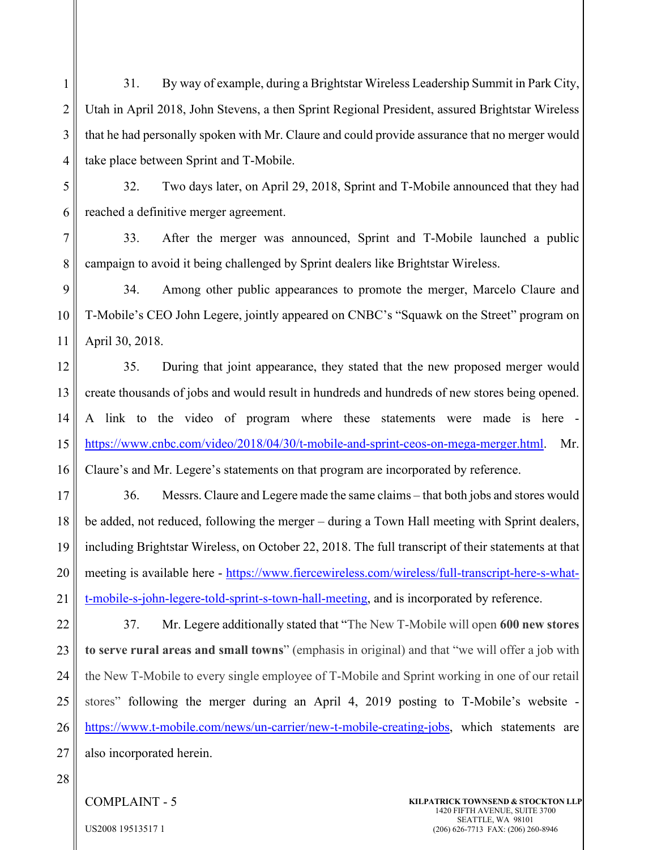1 2 3 4 31. By way of example, during a Brightstar Wireless Leadership Summit in Park City, Utah in April 2018, John Stevens, a then Sprint Regional President, assured Brightstar Wireless that he had personally spoken with Mr. Claure and could provide assurance that no merger would take place between Sprint and T-Mobile.

5

6

32. Two days later, on April 29, 2018, Sprint and T-Mobile announced that they had reached a definitive merger agreement.

7 8 33. After the merger was announced, Sprint and T-Mobile launched a public campaign to avoid it being challenged by Sprint dealers like Brightstar Wireless.

9 10 11 34. Among other public appearances to promote the merger, Marcelo Claure and T-Mobile's CEO John Legere, jointly appeared on CNBC's "Squawk on the Street" program on April 30, 2018.

12 13 14 15 16 35. During that joint appearance, they stated that the new proposed merger would create thousands of jobs and would result in hundreds and hundreds of new stores being opened. A link to the video of program where these statements were made is here [https://www.cnbc.com/video/2018/04/30/t-mobile-and-sprint-ceos-on-mega-merger.html.](https://www.cnbc.com/video/2018/04/30/t-mobile-and-sprint-ceos-on-mega-merger.html) Mr. Claure's and Mr. Legere's statements on that program are incorporated by reference.

17 18 19 20 21 36. Messrs. Claure and Legere made the same claims – that both jobs and stores would be added, not reduced, following the merger – during a Town Hall meeting with Sprint dealers, including Brightstar Wireless, on October 22, 2018. The full transcript of their statements at that meeting is available here - [https://www.fiercewireless.com/wireless/full-transcript-here-s-what](https://www.fiercewireless.com/wireless/full-transcript-here-s-what-t-mobile-s-john-legere-told-sprint-s-town-hall-meeting)[t-mobile-s-john-legere-told-sprint-s-town-hall-meeting,](https://www.fiercewireless.com/wireless/full-transcript-here-s-what-t-mobile-s-john-legere-told-sprint-s-town-hall-meeting) and is incorporated by reference.

22 23 24 25 26 27 37. Mr. Legere additionally stated that "The New T-Mobile will open **600 new stores to serve rural areas and small towns**" (emphasis in original) and that "we will offer a job with the New T-Mobile to every single employee of T-Mobile and Sprint working in one of our retail stores" following the merger during an April 4, 2019 posting to T-Mobile's website [https://www.t-mobile.com/news/un-carrier/new-t-mobile-creating-jobs,](https://www.t-mobile.com/news/un-carrier/new-t-mobile-creating-jobs) which statements are also incorporated herein.

28

COMPLAINT - 5

**KILPATRICK TOWNSEND & STOCKTON LLP** 1420 FIFTH AVENUE, SUITE 3700 SEATTLE, WA 98101 (206) 626-7713 FAX: (206) 260-8946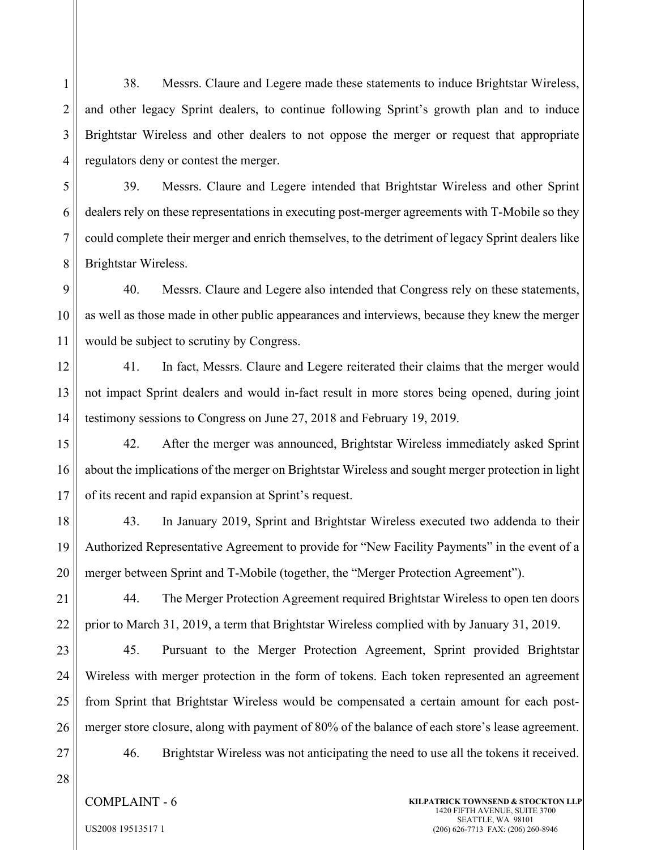1 2 3 4 38. Messrs. Claure and Legere made these statements to induce Brightstar Wireless, and other legacy Sprint dealers, to continue following Sprint's growth plan and to induce Brightstar Wireless and other dealers to not oppose the merger or request that appropriate regulators deny or contest the merger.

5 6 7 8 39. Messrs. Claure and Legere intended that Brightstar Wireless and other Sprint dealers rely on these representations in executing post-merger agreements with T-Mobile so they could complete their merger and enrich themselves, to the detriment of legacy Sprint dealers like Brightstar Wireless.

9 10 11 40. Messrs. Claure and Legere also intended that Congress rely on these statements, as well as those made in other public appearances and interviews, because they knew the merger would be subject to scrutiny by Congress.

12 13 14 41. In fact, Messrs. Claure and Legere reiterated their claims that the merger would not impact Sprint dealers and would in-fact result in more stores being opened, during joint testimony sessions to Congress on June 27, 2018 and February 19, 2019.

15 16 17 42. After the merger was announced, Brightstar Wireless immediately asked Sprint about the implications of the merger on Brightstar Wireless and sought merger protection in light of its recent and rapid expansion at Sprint's request.

18 19 20 43. In January 2019, Sprint and Brightstar Wireless executed two addenda to their Authorized Representative Agreement to provide for "New Facility Payments" in the event of a merger between Sprint and T-Mobile (together, the "Merger Protection Agreement").

21 22 44. The Merger Protection Agreement required Brightstar Wireless to open ten doors prior to March 31, 2019, a term that Brightstar Wireless complied with by January 31, 2019.

23 24 25 26 45. Pursuant to the Merger Protection Agreement, Sprint provided Brightstar Wireless with merger protection in the form of tokens. Each token represented an agreement from Sprint that Brightstar Wireless would be compensated a certain amount for each postmerger store closure, along with payment of 80% of the balance of each store's lease agreement.

46. Brightstar Wireless was not anticipating the need to use all the tokens it received.

- 27
- 28
- COMPLAINT 6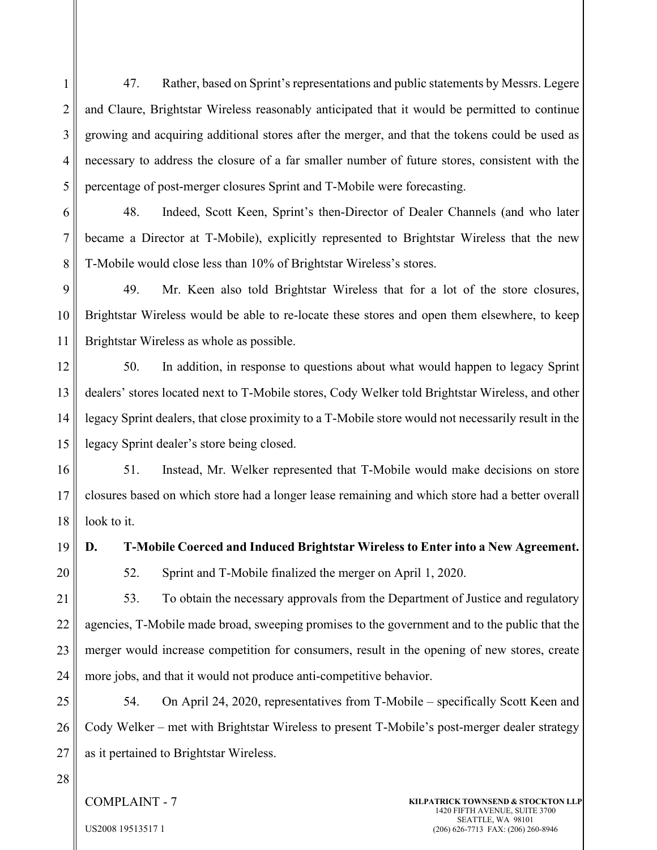1 2 3 4 5 47. Rather, based on Sprint's representations and public statements by Messrs. Legere and Claure, Brightstar Wireless reasonably anticipated that it would be permitted to continue growing and acquiring additional stores after the merger, and that the tokens could be used as necessary to address the closure of a far smaller number of future stores, consistent with the percentage of post-merger closures Sprint and T-Mobile were forecasting.

6 7 8 48. Indeed, Scott Keen, Sprint's then-Director of Dealer Channels (and who later became a Director at T-Mobile), explicitly represented to Brightstar Wireless that the new T-Mobile would close less than 10% of Brightstar Wireless's stores.

9 10 11 49. Mr. Keen also told Brightstar Wireless that for a lot of the store closures, Brightstar Wireless would be able to re-locate these stores and open them elsewhere, to keep Brightstar Wireless as whole as possible.

12 13 14 15 50. In addition, in response to questions about what would happen to legacy Sprint dealers' stores located next to T-Mobile stores, Cody Welker told Brightstar Wireless, and other legacy Sprint dealers, that close proximity to a T-Mobile store would not necessarily result in the legacy Sprint dealer's store being closed.

16 17 18 51. Instead, Mr. Welker represented that T-Mobile would make decisions on store closures based on which store had a longer lease remaining and which store had a better overall look to it.

19 20 **D. T-Mobile Coerced and Induced Brightstar Wireless to Enter into a New Agreement.** 52. Sprint and T-Mobile finalized the merger on April 1, 2020.

21 22 23 24 53. To obtain the necessary approvals from the Department of Justice and regulatory agencies, T-Mobile made broad, sweeping promises to the government and to the public that the merger would increase competition for consumers, result in the opening of new stores, create more jobs, and that it would not produce anti-competitive behavior.

25 26 27 54. On April 24, 2020, representatives from T-Mobile – specifically Scott Keen and Cody Welker – met with Brightstar Wireless to present T-Mobile's post-merger dealer strategy as it pertained to Brightstar Wireless.

28

COMPLAINT - 7

**KILPATRICK TOWNSEND & STOCKTON LLP** 1420 FIFTH AVENUE, SUITE 3700 SEATTLE, WA 98101 (206) 626-7713 FAX: (206) 260-8946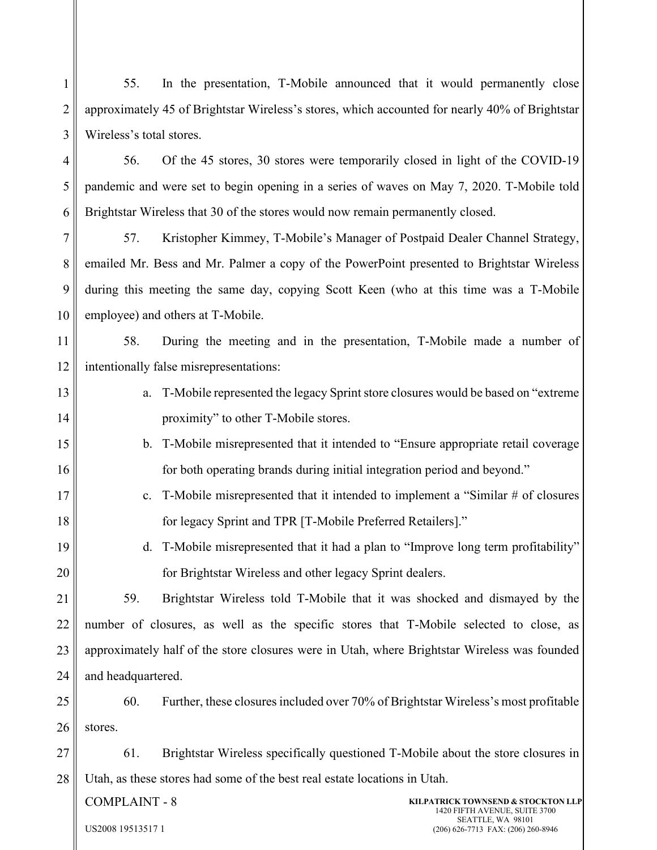1 2 3 55. In the presentation, T-Mobile announced that it would permanently close approximately 45 of Brightstar Wireless's stores, which accounted for nearly 40% of Brightstar Wireless's total stores.

4 5 6 56. Of the 45 stores, 30 stores were temporarily closed in light of the COVID-19 pandemic and were set to begin opening in a series of waves on May 7, 2020. T-Mobile told Brightstar Wireless that 30 of the stores would now remain permanently closed.

7 8 9 10 57. Kristopher Kimmey, T-Mobile's Manager of Postpaid Dealer Channel Strategy, emailed Mr. Bess and Mr. Palmer a copy of the PowerPoint presented to Brightstar Wireless during this meeting the same day, copying Scott Keen (who at this time was a T-Mobile employee) and others at T-Mobile.

11 12 58. During the meeting and in the presentation, T-Mobile made a number of intentionally false misrepresentations:

- 13 14 a. T-Mobile represented the legacy Sprint store closures would be based on "extreme proximity" to other T-Mobile stores.
- 15 16 b. T-Mobile misrepresented that it intended to "Ensure appropriate retail coverage for both operating brands during initial integration period and beyond."
	- c. T-Mobile misrepresented that it intended to implement a "Similar # of closures for legacy Sprint and TPR [T-Mobile Preferred Retailers]."
	- d. T-Mobile misrepresented that it had a plan to "Improve long term profitability" for Brightstar Wireless and other legacy Sprint dealers.

21 22 23 24 59. Brightstar Wireless told T-Mobile that it was shocked and dismayed by the number of closures, as well as the specific stores that T-Mobile selected to close, as approximately half of the store closures were in Utah, where Brightstar Wireless was founded and headquartered.

25 26 60. Further, these closures included over 70% of Brightstar Wireless's most profitable stores.

27 28 61. Brightstar Wireless specifically questioned T-Mobile about the store closures in Utah, as these stores had some of the best real estate locations in Utah.

COMPLAINT - 8

17

18

19

20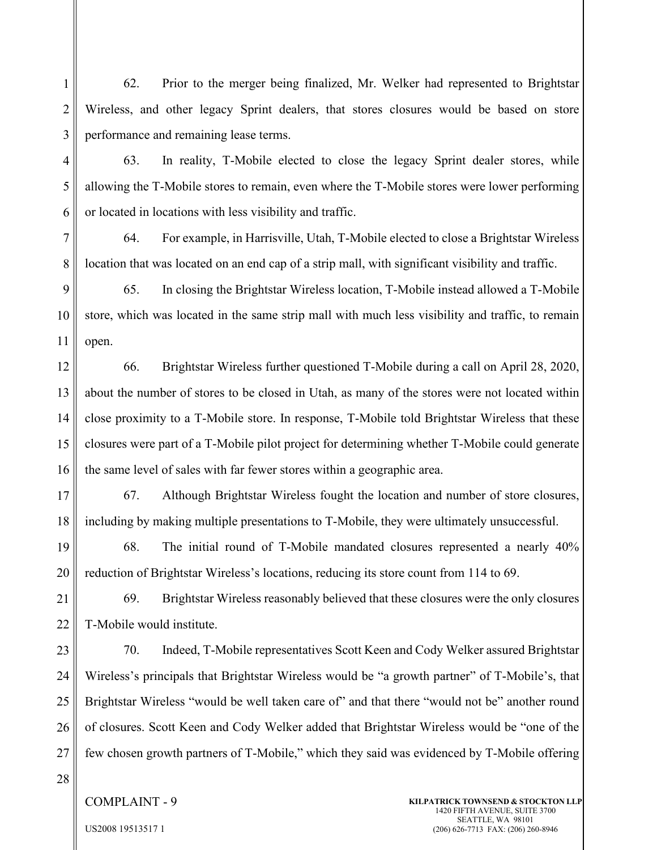62. Prior to the merger being finalized, Mr. Welker had represented to Brightstar Wireless, and other legacy Sprint dealers, that stores closures would be based on store performance and remaining lease terms.

63. In reality, T-Mobile elected to close the legacy Sprint dealer stores, while allowing the T-Mobile stores to remain, even where the T-Mobile stores were lower performing or located in locations with less visibility and traffic.

64. For example, in Harrisville, Utah, T-Mobile elected to close a Brightstar Wireless location that was located on an end cap of a strip mall, with significant visibility and traffic.

9 10 11 65. In closing the Brightstar Wireless location, T-Mobile instead allowed a T-Mobile store, which was located in the same strip mall with much less visibility and traffic, to remain open.

12 13 14 15 16 66. Brightstar Wireless further questioned T-Mobile during a call on April 28, 2020, about the number of stores to be closed in Utah, as many of the stores were not located within close proximity to a T-Mobile store. In response, T-Mobile told Brightstar Wireless that these closures were part of a T-Mobile pilot project for determining whether T-Mobile could generate the same level of sales with far fewer stores within a geographic area.

17 18 67. Although Brightstar Wireless fought the location and number of store closures, including by making multiple presentations to T-Mobile, they were ultimately unsuccessful.

19 20 68. The initial round of T-Mobile mandated closures represented a nearly 40% reduction of Brightstar Wireless's locations, reducing its store count from 114 to 69.

21 22 69. Brightstar Wireless reasonably believed that these closures were the only closures T-Mobile would institute.

23 24 25 26 27 70. Indeed, T-Mobile representatives Scott Keen and Cody Welker assured Brightstar Wireless's principals that Brightstar Wireless would be "a growth partner" of T-Mobile's, that Brightstar Wireless "would be well taken care of" and that there "would not be" another round of closures. Scott Keen and Cody Welker added that Brightstar Wireless would be "one of the few chosen growth partners of T-Mobile," which they said was evidenced by T-Mobile offering

28

1

2

3

4

5

6

7

8

#### COMPLAINT - 9

**KILPATRICK TOWNSEND & STOCKTON LLP** 1420 FIFTH AVENUE, SUITE 3700 SEATTLE, WA 98101 (206) 626-7713 FAX: (206) 260-8946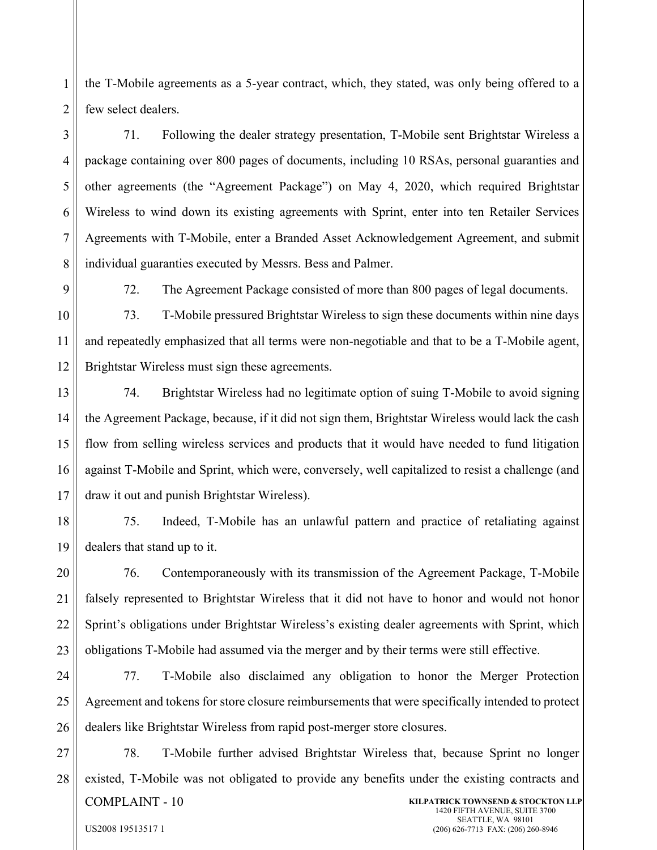1 2 the T-Mobile agreements as a 5-year contract, which, they stated, was only being offered to a few select dealers.

3 4 5 6 7 8 71. Following the dealer strategy presentation, T-Mobile sent Brightstar Wireless a package containing over 800 pages of documents, including 10 RSAs, personal guaranties and other agreements (the "Agreement Package") on May 4, 2020, which required Brightstar Wireless to wind down its existing agreements with Sprint, enter into ten Retailer Services Agreements with T-Mobile, enter a Branded Asset Acknowledgement Agreement, and submit individual guaranties executed by Messrs. Bess and Palmer.

9

US2008 19513517 1

72. The Agreement Package consisted of more than 800 pages of legal documents.

10 11 12 73. T-Mobile pressured Brightstar Wireless to sign these documents within nine days and repeatedly emphasized that all terms were non-negotiable and that to be a T-Mobile agent, Brightstar Wireless must sign these agreements.

13 14 15 16 17 74. Brightstar Wireless had no legitimate option of suing T-Mobile to avoid signing the Agreement Package, because, if it did not sign them, Brightstar Wireless would lack the cash flow from selling wireless services and products that it would have needed to fund litigation against T-Mobile and Sprint, which were, conversely, well capitalized to resist a challenge (and draw it out and punish Brightstar Wireless).

18 19 75. Indeed, T-Mobile has an unlawful pattern and practice of retaliating against dealers that stand up to it.

20 21 22 23 76. Contemporaneously with its transmission of the Agreement Package, T-Mobile falsely represented to Brightstar Wireless that it did not have to honor and would not honor Sprint's obligations under Brightstar Wireless's existing dealer agreements with Sprint, which obligations T-Mobile had assumed via the merger and by their terms were still effective.

24 25 26 77. T-Mobile also disclaimed any obligation to honor the Merger Protection Agreement and tokens for store closure reimbursements that were specifically intended to protect dealers like Brightstar Wireless from rapid post-merger store closures.

27 28 COMPLAINT - 10 **KILPATRICK TOWNSEND & STOCKTON LLP** 1420 FIFTH AVENUE, SUITE 3700 SEATTLE, WA 98101 78. T-Mobile further advised Brightstar Wireless that, because Sprint no longer existed, T-Mobile was not obligated to provide any benefits under the existing contracts and

(206) 626-7713 FAX: (206) 260-8946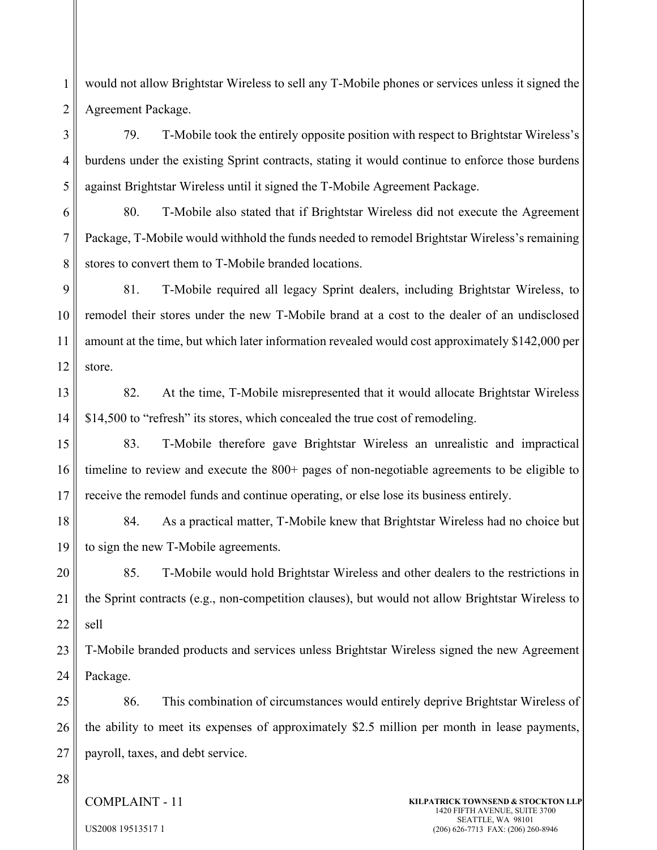would not allow Brightstar Wireless to sell any T-Mobile phones or services unless it signed the Agreement Package.

3 4 5 79. T-Mobile took the entirely opposite position with respect to Brightstar Wireless's burdens under the existing Sprint contracts, stating it would continue to enforce those burdens against Brightstar Wireless until it signed the T-Mobile Agreement Package.

6 7 8 80. T-Mobile also stated that if Brightstar Wireless did not execute the Agreement Package, T-Mobile would withhold the funds needed to remodel Brightstar Wireless's remaining stores to convert them to T-Mobile branded locations.

9 10 11 12 81. T-Mobile required all legacy Sprint dealers, including Brightstar Wireless, to remodel their stores under the new T-Mobile brand at a cost to the dealer of an undisclosed amount at the time, but which later information revealed would cost approximately \$142,000 per store.

13 14 82. At the time, T-Mobile misrepresented that it would allocate Brightstar Wireless \$14,500 to "refresh" its stores, which concealed the true cost of remodeling.

15 16 17 83. T-Mobile therefore gave Brightstar Wireless an unrealistic and impractical timeline to review and execute the 800+ pages of non-negotiable agreements to be eligible to receive the remodel funds and continue operating, or else lose its business entirely.

18 19 84. As a practical matter, T-Mobile knew that Brightstar Wireless had no choice but to sign the new T-Mobile agreements.

20 21 22 85. T-Mobile would hold Brightstar Wireless and other dealers to the restrictions in the Sprint contracts (e.g., non-competition clauses), but would not allow Brightstar Wireless to sell

23 24 T-Mobile branded products and services unless Brightstar Wireless signed the new Agreement Package.

25 26 27 86. This combination of circumstances would entirely deprive Brightstar Wireless of the ability to meet its expenses of approximately \$2.5 million per month in lease payments, payroll, taxes, and debt service.

28

1

2

COMPLAINT - 11

**KILPATRICK TOWNSEND & STOCKTON LLP** 1420 FIFTH AVENUE, SUITE 3700 SEATTLE, WA 98101 (206) 626-7713 FAX: (206) 260-8946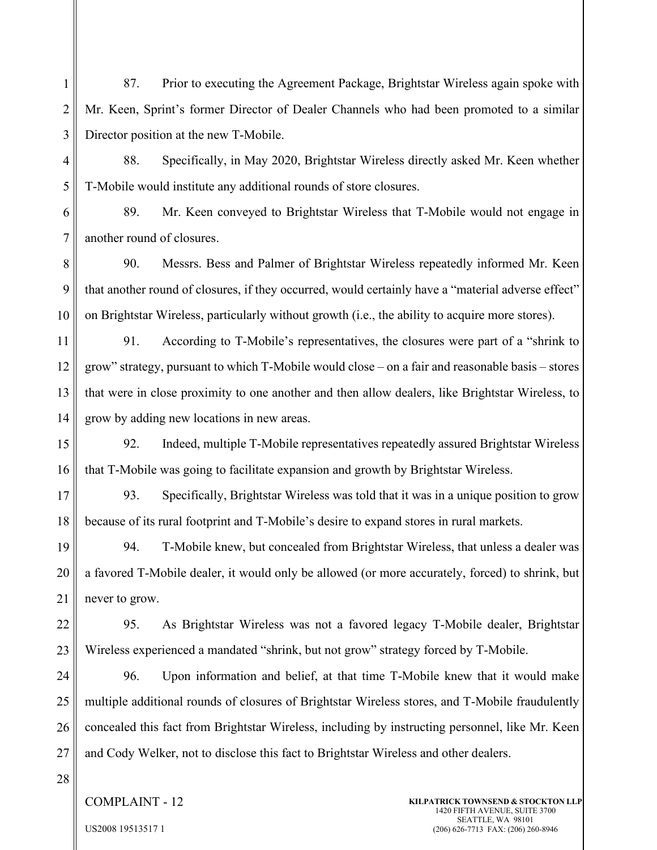1 2 3 87. Prior to executing the Agreement Package, Brightstar Wireless again spoke with Mr. Keen, Sprint's former Director of Dealer Channels who had been promoted to a similar Director position at the new T-Mobile.

88. Specifically, in May 2020, Brightstar Wireless directly asked Mr. Keen whether T-Mobile would institute any additional rounds of store closures.

6 7 89. Mr. Keen conveyed to Brightstar Wireless that T-Mobile would not engage in another round of closures.

8 9 10 90. Messrs. Bess and Palmer of Brightstar Wireless repeatedly informed Mr. Keen that another round of closures, if they occurred, would certainly have a "material adverse effect" on Brightstar Wireless, particularly without growth (i.e., the ability to acquire more stores).

11 12 13 14 91. According to T-Mobile's representatives, the closures were part of a "shrink to grow" strategy, pursuant to which T-Mobile would close – on a fair and reasonable basis – stores that were in close proximity to one another and then allow dealers, like Brightstar Wireless, to grow by adding new locations in new areas.

15 16 92. Indeed, multiple T-Mobile representatives repeatedly assured Brightstar Wireless that T-Mobile was going to facilitate expansion and growth by Brightstar Wireless.

17 18 93. Specifically, Brightstar Wireless was told that it was in a unique position to grow because of its rural footprint and T-Mobile's desire to expand stores in rural markets.

19 20 21 94. T-Mobile knew, but concealed from Brightstar Wireless, that unless a dealer was a favored T-Mobile dealer, it would only be allowed (or more accurately, forced) to shrink, but never to grow.

22 23 95. As Brightstar Wireless was not a favored legacy T-Mobile dealer, Brightstar Wireless experienced a mandated "shrink, but not grow" strategy forced by T-Mobile.

24 25 26 27 96. Upon information and belief, at that time T-Mobile knew that it would make multiple additional rounds of closures of Brightstar Wireless stores, and T-Mobile fraudulently concealed this fact from Brightstar Wireless, including by instructing personnel, like Mr. Keen and Cody Welker, not to disclose this fact to Brightstar Wireless and other dealers.

28

4

5

### COMPLAINT - 12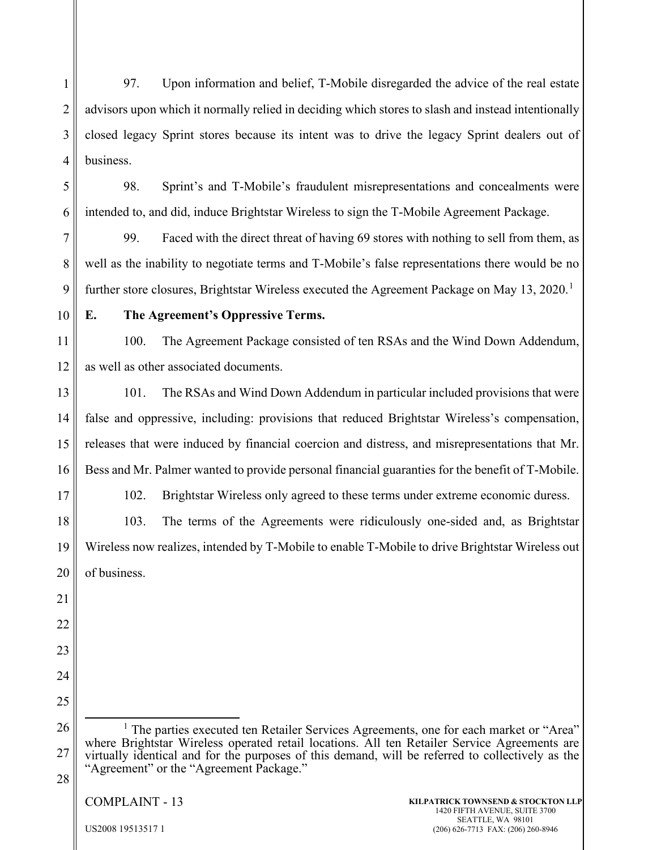1 2 3 4 97. Upon information and belief, T-Mobile disregarded the advice of the real estate advisors upon which it normally relied in deciding which stores to slash and instead intentionally closed legacy Sprint stores because its intent was to drive the legacy Sprint dealers out of business.

5

6

98. Sprint's and T-Mobile's fraudulent misrepresentations and concealments were intended to, and did, induce Brightstar Wireless to sign the T-Mobile Agreement Package.

7 8 9 99. Faced with the direct threat of having 69 stores with nothing to sell from them, as well as the inability to negotiate terms and T-Mobile's false representations there would be no further store closures, Brightstar Wireless executed the Agreement Package on May [1](#page-12-0)3, 2020.<sup>1</sup>

10

## **E. The Agreement's Oppressive Terms.**

11 12 100. The Agreement Package consisted of ten RSAs and the Wind Down Addendum, as well as other associated documents.

13 14 15 16 101. The RSAs and Wind Down Addendum in particular included provisions that were false and oppressive, including: provisions that reduced Brightstar Wireless's compensation, releases that were induced by financial coercion and distress, and misrepresentations that Mr. Bess and Mr. Palmer wanted to provide personal financial guaranties for the benefit of T-Mobile.

17

102. Brightstar Wireless only agreed to these terms under extreme economic duress.

18 19 20 103. The terms of the Agreements were ridiculously one-sided and, as Brightstar Wireless now realizes, intended by T-Mobile to enable T-Mobile to drive Brightstar Wireless out of business.

22

21

- 23
- 24 25

<span id="page-12-0"></span>26 27 28 <sup>1</sup> The parties executed ten Retailer Services Agreements, one for each market or "Area" where Brightstar Wireless operated retail locations. All ten Retailer Service Agreements are virtually identical and for the purposes of this demand, will be referred to collectively as the "Agreement" or the "Agreement Package."

COMPLAINT - 13

**KILPATRICK TOWNSEND & STOCKTON LLP** 1420 FIFTH AVENUE, SUITE 3700 SEATTLE, WA 98101 (206) 626-7713 FAX: (206) 260-8946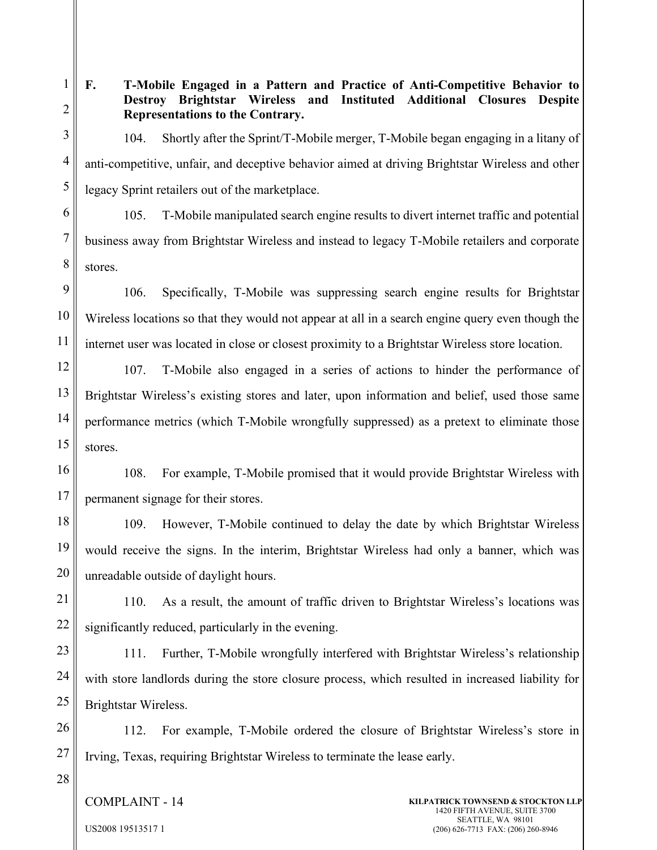**F. T-Mobile Engaged in a Pattern and Practice of Anti-Competitive Behavior to Destroy Brightstar Wireless and Instituted Additional Closures Despite Representations to the Contrary.**

104. Shortly after the Sprint/T-Mobile merger, T-Mobile began engaging in a litany of anti-competitive, unfair, and deceptive behavior aimed at driving Brightstar Wireless and other legacy Sprint retailers out of the marketplace.

1

2

3

4

5

6

7

8

105. T-Mobile manipulated search engine results to divert internet traffic and potential business away from Brightstar Wireless and instead to legacy T-Mobile retailers and corporate stores.

9 10 11 106. Specifically, T-Mobile was suppressing search engine results for Brightstar Wireless locations so that they would not appear at all in a search engine query even though the internet user was located in close or closest proximity to a Brightstar Wireless store location.

12 13 14 15 107. T-Mobile also engaged in a series of actions to hinder the performance of Brightstar Wireless's existing stores and later, upon information and belief, used those same performance metrics (which T-Mobile wrongfully suppressed) as a pretext to eliminate those stores.

16 17 108. For example, T-Mobile promised that it would provide Brightstar Wireless with permanent signage for their stores.

18 19 20 109. However, T-Mobile continued to delay the date by which Brightstar Wireless would receive the signs. In the interim, Brightstar Wireless had only a banner, which was unreadable outside of daylight hours.

21 22 110. As a result, the amount of traffic driven to Brightstar Wireless's locations was significantly reduced, particularly in the evening.

23 24 25 111. Further, T-Mobile wrongfully interfered with Brightstar Wireless's relationship with store landlords during the store closure process, which resulted in increased liability for Brightstar Wireless.

26 27 112. For example, T-Mobile ordered the closure of Brightstar Wireless's store in Irving, Texas, requiring Brightstar Wireless to terminate the lease early.

28

COMPLAINT - 14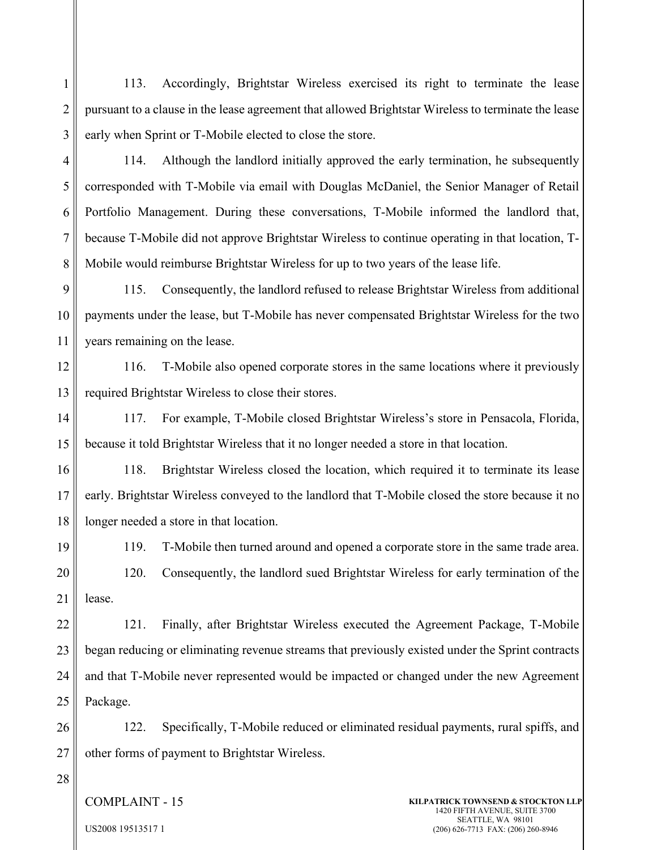1 2 3 113. Accordingly, Brightstar Wireless exercised its right to terminate the lease pursuant to a clause in the lease agreement that allowed Brightstar Wireless to terminate the lease early when Sprint or T-Mobile elected to close the store.

4 5 6 7 8 114. Although the landlord initially approved the early termination, he subsequently corresponded with T-Mobile via email with Douglas McDaniel, the Senior Manager of Retail Portfolio Management. During these conversations, T-Mobile informed the landlord that, because T-Mobile did not approve Brightstar Wireless to continue operating in that location, T-Mobile would reimburse Brightstar Wireless for up to two years of the lease life.

9 10 11 115. Consequently, the landlord refused to release Brightstar Wireless from additional payments under the lease, but T-Mobile has never compensated Brightstar Wireless for the two years remaining on the lease.

12 13 116. T-Mobile also opened corporate stores in the same locations where it previously required Brightstar Wireless to close their stores.

14 15 117. For example, T-Mobile closed Brightstar Wireless's store in Pensacola, Florida, because it told Brightstar Wireless that it no longer needed a store in that location.

16 17 18 118. Brightstar Wireless closed the location, which required it to terminate its lease early. Brightstar Wireless conveyed to the landlord that T-Mobile closed the store because it no longer needed a store in that location.

19 20 21 119. T-Mobile then turned around and opened a corporate store in the same trade area. 120. Consequently, the landlord sued Brightstar Wireless for early termination of the lease.

22 23 24 25 121. Finally, after Brightstar Wireless executed the Agreement Package, T-Mobile began reducing or eliminating revenue streams that previously existed under the Sprint contracts and that T-Mobile never represented would be impacted or changed under the new Agreement Package.

26 27 122. Specifically, T-Mobile reduced or eliminated residual payments, rural spiffs, and other forms of payment to Brightstar Wireless.

28

COMPLAINT - 15

**KILPATRICK TOWNSEND & STOCKTON LLP** 1420 FIFTH AVENUE, SUITE 3700 SEATTLE, WA 98101 (206) 626-7713 FAX: (206) 260-8946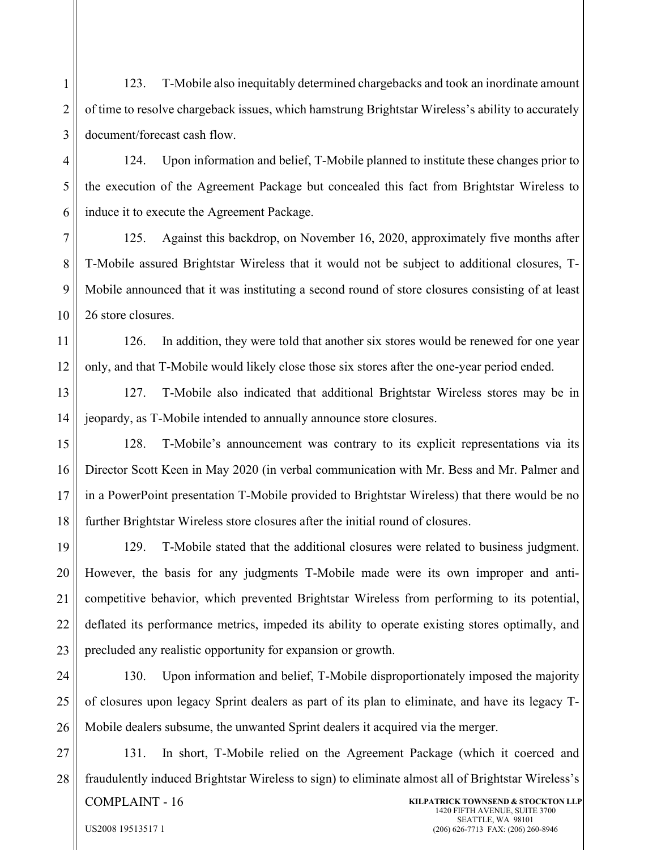1 2 3 123. T-Mobile also inequitably determined chargebacks and took an inordinate amount of time to resolve chargeback issues, which hamstrung Brightstar Wireless's ability to accurately document/forecast cash flow.

4 5 6 124. Upon information and belief, T-Mobile planned to institute these changes prior to the execution of the Agreement Package but concealed this fact from Brightstar Wireless to induce it to execute the Agreement Package.

7 8 9 10 125. Against this backdrop, on November 16, 2020, approximately five months after T-Mobile assured Brightstar Wireless that it would not be subject to additional closures, T-Mobile announced that it was instituting a second round of store closures consisting of at least 26 store closures.

11 12 126. In addition, they were told that another six stores would be renewed for one year only, and that T-Mobile would likely close those six stores after the one-year period ended.

13 14 127. T-Mobile also indicated that additional Brightstar Wireless stores may be in jeopardy, as T-Mobile intended to annually announce store closures.

15 16 17 18 128. T-Mobile's announcement was contrary to its explicit representations via its Director Scott Keen in May 2020 (in verbal communication with Mr. Bess and Mr. Palmer and in a PowerPoint presentation T-Mobile provided to Brightstar Wireless) that there would be no further Brightstar Wireless store closures after the initial round of closures.

19 20 21 22 23 129. T-Mobile stated that the additional closures were related to business judgment. However, the basis for any judgments T-Mobile made were its own improper and anticompetitive behavior, which prevented Brightstar Wireless from performing to its potential, deflated its performance metrics, impeded its ability to operate existing stores optimally, and precluded any realistic opportunity for expansion or growth.

24 25 26 130. Upon information and belief, T-Mobile disproportionately imposed the majority of closures upon legacy Sprint dealers as part of its plan to eliminate, and have its legacy T-Mobile dealers subsume, the unwanted Sprint dealers it acquired via the merger.

27 28 COMPLAINT - 16 **KILPATRICK TOWNSEND & STOCKTON LLP** 1420 FIFTH AVENUE, SUITE 3700 SEATTLE, WA 98101 131. In short, T-Mobile relied on the Agreement Package (which it coerced and fraudulently induced Brightstar Wireless to sign) to eliminate almost all of Brightstar Wireless's

(206) 626-7713 FAX: (206) 260-8946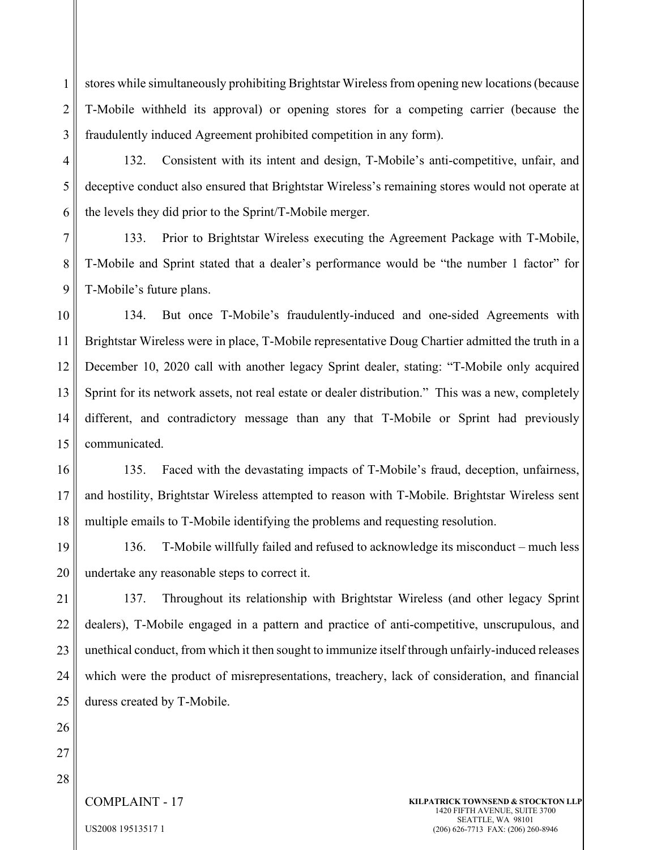1 2 3 stores while simultaneously prohibiting Brightstar Wireless from opening new locations (because T-Mobile withheld its approval) or opening stores for a competing carrier (because the fraudulently induced Agreement prohibited competition in any form).

4 132. Consistent with its intent and design, T-Mobile's anti-competitive, unfair, and deceptive conduct also ensured that Brightstar Wireless's remaining stores would not operate at the levels they did prior to the Sprint/T-Mobile merger.

7 8 9 133. Prior to Brightstar Wireless executing the Agreement Package with T-Mobile, T-Mobile and Sprint stated that a dealer's performance would be "the number 1 factor" for T-Mobile's future plans.

10 11 12 13 14 15 134. But once T-Mobile's fraudulently-induced and one-sided Agreements with Brightstar Wireless were in place, T-Mobile representative Doug Chartier admitted the truth in a December 10, 2020 call with another legacy Sprint dealer, stating: "T-Mobile only acquired Sprint for its network assets, not real estate or dealer distribution." This was a new, completely different, and contradictory message than any that T-Mobile or Sprint had previously communicated.

16 17 18 135. Faced with the devastating impacts of T-Mobile's fraud, deception, unfairness, and hostility, Brightstar Wireless attempted to reason with T-Mobile. Brightstar Wireless sent multiple emails to T-Mobile identifying the problems and requesting resolution.

19 20 136. T-Mobile willfully failed and refused to acknowledge its misconduct – much less undertake any reasonable steps to correct it.

21 22 23 24 25 137. Throughout its relationship with Brightstar Wireless (and other legacy Sprint dealers), T-Mobile engaged in a pattern and practice of anti-competitive, unscrupulous, and unethical conduct, from which it then sought to immunize itself through unfairly-induced releases which were the product of misrepresentations, treachery, lack of consideration, and financial duress created by T-Mobile.

26

5

6

27

28

COMPLAINT - 17

**KILPATRICK TOWNSEND & STOCKTON LLP** 1420 FIFTH AVENUE, SUITE 3700 SEATTLE, WA 98101 (206) 626-7713 FAX: (206) 260-8946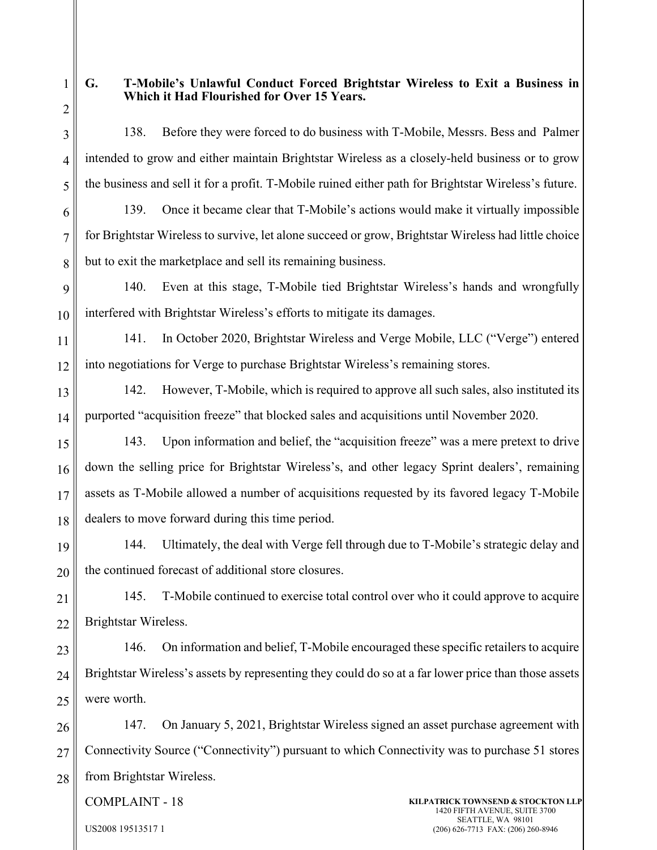1 2

3

4

5

8

# **G. T-Mobile's Unlawful Conduct Forced Brightstar Wireless to Exit a Business in Which it Had Flourished for Over 15 Years.**

138. Before they were forced to do business with T-Mobile, Messrs. Bess and Palmer intended to grow and either maintain Brightstar Wireless as a closely-held business or to grow the business and sell it for a profit. T-Mobile ruined either path for Brightstar Wireless's future.

6 7

139. Once it became clear that T-Mobile's actions would make it virtually impossible for Brightstar Wireless to survive, let alone succeed or grow, Brightstar Wireless had little choice but to exit the marketplace and sell its remaining business.

9 10 140. Even at this stage, T-Mobile tied Brightstar Wireless's hands and wrongfully interfered with Brightstar Wireless's efforts to mitigate its damages.

11 12 141. In October 2020, Brightstar Wireless and Verge Mobile, LLC ("Verge") entered into negotiations for Verge to purchase Brightstar Wireless's remaining stores.

13 14 142. However, T-Mobile, which is required to approve all such sales, also instituted its purported "acquisition freeze" that blocked sales and acquisitions until November 2020.

15 16 17 18 143. Upon information and belief, the "acquisition freeze" was a mere pretext to drive down the selling price for Brightstar Wireless's, and other legacy Sprint dealers', remaining assets as T-Mobile allowed a number of acquisitions requested by its favored legacy T-Mobile dealers to move forward during this time period.

19 20 144. Ultimately, the deal with Verge fell through due to T-Mobile's strategic delay and the continued forecast of additional store closures.

21 22 145. T-Mobile continued to exercise total control over who it could approve to acquire Brightstar Wireless.

23 24 25 146. On information and belief, T-Mobile encouraged these specific retailers to acquire Brightstar Wireless's assets by representing they could do so at a far lower price than those assets were worth.

26 27 28 147. On January 5, 2021, Brightstar Wireless signed an asset purchase agreement with Connectivity Source ("Connectivity") pursuant to which Connectivity was to purchase 51 stores from Brightstar Wireless.

COMPLAINT - 18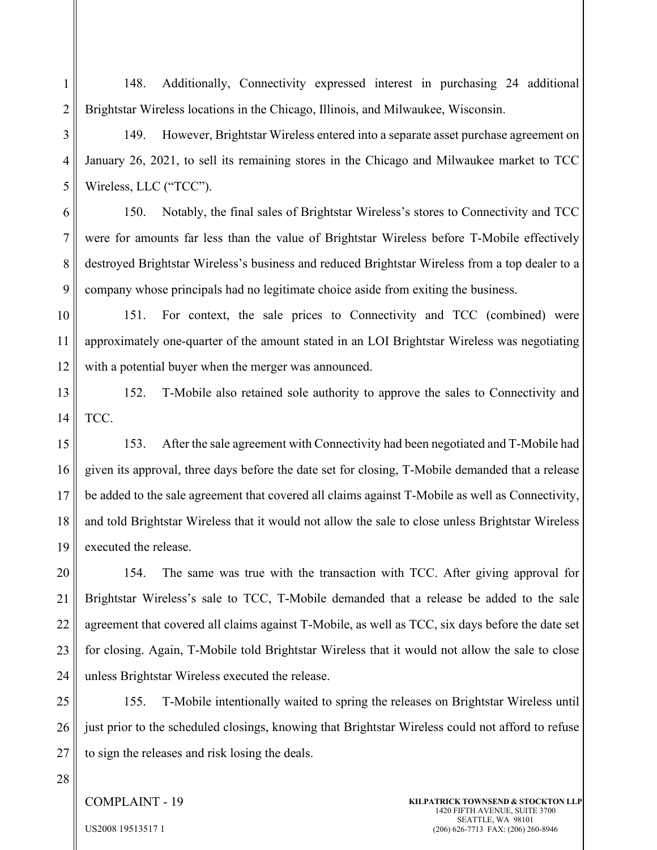1 2 148. Additionally, Connectivity expressed interest in purchasing 24 additional Brightstar Wireless locations in the Chicago, Illinois, and Milwaukee, Wisconsin.

3 4 5 149. However, Brightstar Wireless entered into a separate asset purchase agreement on January 26, 2021, to sell its remaining stores in the Chicago and Milwaukee market to TCC Wireless, LLC ("TCC").

6 7 8 9 150. Notably, the final sales of Brightstar Wireless's stores to Connectivity and TCC were for amounts far less than the value of Brightstar Wireless before T-Mobile effectively destroyed Brightstar Wireless's business and reduced Brightstar Wireless from a top dealer to a company whose principals had no legitimate choice aside from exiting the business.

10 11 12 151. For context, the sale prices to Connectivity and TCC (combined) were approximately one-quarter of the amount stated in an LOI Brightstar Wireless was negotiating with a potential buyer when the merger was announced.

13 14 152. T-Mobile also retained sole authority to approve the sales to Connectivity and TCC.

15 16 17 18 19 153. After the sale agreement with Connectivity had been negotiated and T-Mobile had given its approval, three days before the date set for closing, T-Mobile demanded that a release be added to the sale agreement that covered all claims against T-Mobile as well as Connectivity, and told Brightstar Wireless that it would not allow the sale to close unless Brightstar Wireless executed the release.

20 21 22 23 24 154. The same was true with the transaction with TCC. After giving approval for Brightstar Wireless's sale to TCC, T-Mobile demanded that a release be added to the sale agreement that covered all claims against T-Mobile, as well as TCC, six days before the date set for closing. Again, T-Mobile told Brightstar Wireless that it would not allow the sale to close unless Brightstar Wireless executed the release.

25 26 27 155. T-Mobile intentionally waited to spring the releases on Brightstar Wireless until just prior to the scheduled closings, knowing that Brightstar Wireless could not afford to refuse to sign the releases and risk losing the deals.

28

### COMPLAINT - 19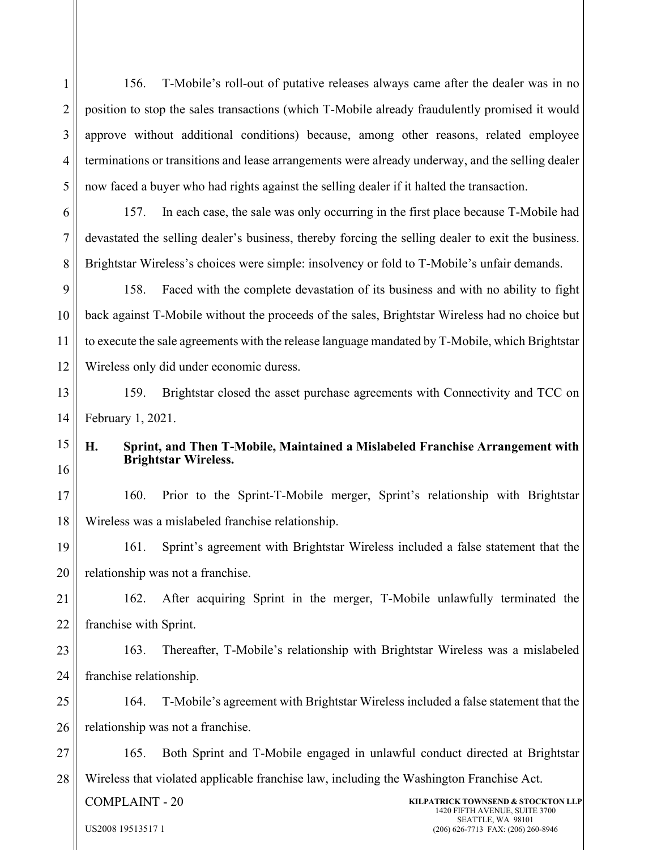156. T-Mobile's roll-out of putative releases always came after the dealer was in no position to stop the sales transactions (which T-Mobile already fraudulently promised it would approve without additional conditions) because, among other reasons, related employee terminations or transitions and lease arrangements were already underway, and the selling dealer now faced a buyer who had rights against the selling dealer if it halted the transaction.

6 7 8 157. In each case, the sale was only occurring in the first place because T-Mobile had devastated the selling dealer's business, thereby forcing the selling dealer to exit the business. Brightstar Wireless's choices were simple: insolvency or fold to T-Mobile's unfair demands.

9 10 11 12 158. Faced with the complete devastation of its business and with no ability to fight back against T-Mobile without the proceeds of the sales, Brightstar Wireless had no choice but to execute the sale agreements with the release language mandated by T-Mobile, which Brightstar Wireless only did under economic duress.

13 14 159. Brightstar closed the asset purchase agreements with Connectivity and TCC on February 1, 2021.

15 16

1

2

3

4

5

# **H. Sprint, and Then T-Mobile, Maintained a Mislabeled Franchise Arrangement with Brightstar Wireless.**

17 18 160. Prior to the Sprint-T-Mobile merger, Sprint's relationship with Brightstar Wireless was a mislabeled franchise relationship.

19 20 161. Sprint's agreement with Brightstar Wireless included a false statement that the relationship was not a franchise.

21 22 162. After acquiring Sprint in the merger, T-Mobile unlawfully terminated the franchise with Sprint.

23 24 163. Thereafter, T-Mobile's relationship with Brightstar Wireless was a mislabeled franchise relationship.

25 26 164. T-Mobile's agreement with Brightstar Wireless included a false statement that the relationship was not a franchise.

27 28 165. Both Sprint and T-Mobile engaged in unlawful conduct directed at Brightstar Wireless that violated applicable franchise law, including the Washington Franchise Act.

COMPLAINT - 20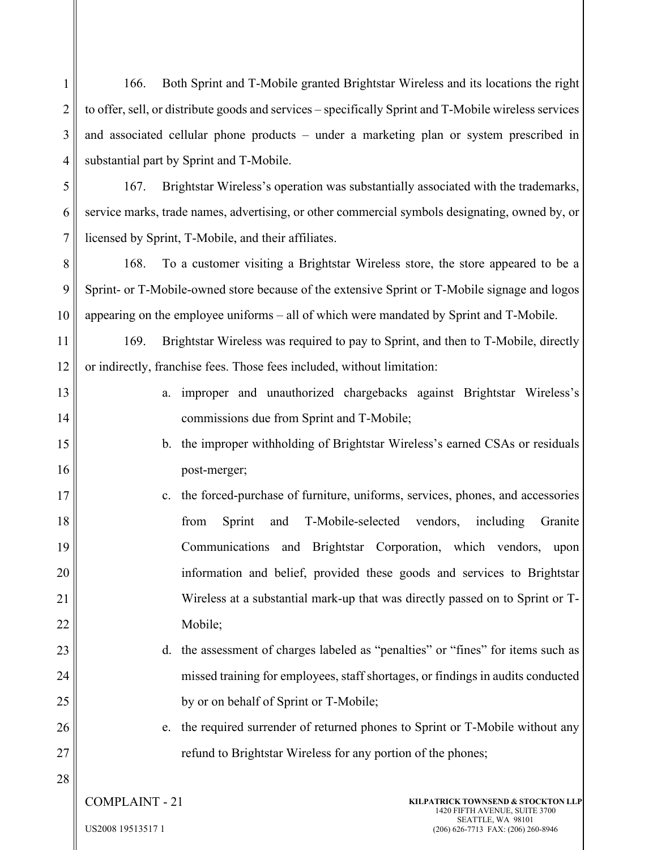2 3 4 5 6 7 8 9 10 11 12 13 14 15 16 17 18 19 20 21 22 23 24 25 26 27 28 COMPLAINT - 21 US2008 19513517 1 **KILPATRICK TOWNSEND & STOCKTON LLP** 1420 FIFTH AVENUE, SUITE 3700 SEATTLE, WA 98101 (206) 626-7713 FAX: (206) 260-8946 to offer, sell, or distribute goods and services – specifically Sprint and T-Mobile wireless services and associated cellular phone products – under a marketing plan or system prescribed in substantial part by Sprint and T-Mobile. 167. Brightstar Wireless's operation was substantially associated with the trademarks, service marks, trade names, advertising, or other commercial symbols designating, owned by, or licensed by Sprint, T-Mobile, and their affiliates. 168. To a customer visiting a Brightstar Wireless store, the store appeared to be a Sprint- or T-Mobile-owned store because of the extensive Sprint or T-Mobile signage and logos appearing on the employee uniforms – all of which were mandated by Sprint and T-Mobile. 169. Brightstar Wireless was required to pay to Sprint, and then to T-Mobile, directly or indirectly, franchise fees. Those fees included, without limitation: a. improper and unauthorized chargebacks against Brightstar Wireless's commissions due from Sprint and T-Mobile; b. the improper withholding of Brightstar Wireless's earned CSAs or residuals post-merger; c. the forced-purchase of furniture, uniforms, services, phones, and accessories from Sprint and T-Mobile-selected vendors, including Granite Communications and Brightstar Corporation, which vendors, upon information and belief, provided these goods and services to Brightstar Wireless at a substantial mark-up that was directly passed on to Sprint or T-Mobile; d. the assessment of charges labeled as "penalties" or "fines" for items such as missed training for employees, staff shortages, or findings in audits conducted by or on behalf of Sprint or T-Mobile; e. the required surrender of returned phones to Sprint or T-Mobile without any refund to Brightstar Wireless for any portion of the phones;

166. Both Sprint and T-Mobile granted Brightstar Wireless and its locations the right

1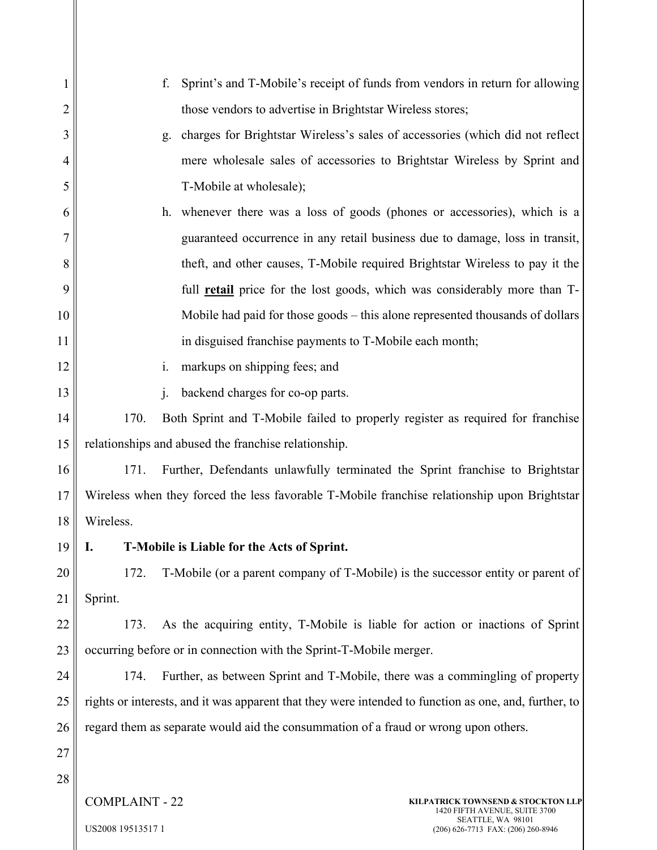|                | Sprint's and T-Mobile's receipt of funds from vendors in return for allowing<br>f.                    |  |  |
|----------------|-------------------------------------------------------------------------------------------------------|--|--|
| $\overline{c}$ | those vendors to advertise in Brightstar Wireless stores;                                             |  |  |
| 3              | charges for Brightstar Wireless's sales of accessories (which did not reflect<br>g.                   |  |  |
| 4              | mere wholesale sales of accessories to Brightstar Wireless by Sprint and                              |  |  |
| 5              | T-Mobile at wholesale);                                                                               |  |  |
| 6              | h. whenever there was a loss of goods (phones or accessories), which is a                             |  |  |
| 7              | guaranteed occurrence in any retail business due to damage, loss in transit,                          |  |  |
| 8              | theft, and other causes, T-Mobile required Brightstar Wireless to pay it the                          |  |  |
| 9              | full retail price for the lost goods, which was considerably more than T-                             |  |  |
| 10             | Mobile had paid for those goods – this alone represented thousands of dollars                         |  |  |
| 11             | in disguised franchise payments to T-Mobile each month;                                               |  |  |
| 12             | markups on shipping fees; and<br>i.                                                                   |  |  |
| 13             | backend charges for co-op parts.<br>$\mathbf{i}$ .                                                    |  |  |
| 14             | 170.<br>Both Sprint and T-Mobile failed to properly register as required for franchise                |  |  |
| 15             | relationships and abused the franchise relationship.                                                  |  |  |
| 16             | 171.<br>Further, Defendants unlawfully terminated the Sprint franchise to Brightstar                  |  |  |
| 17             | Wireless when they forced the less favorable T-Mobile franchise relationship upon Brightstar          |  |  |
| 18             | Wireless.                                                                                             |  |  |
| 19             | T-Mobile is Liable for the Acts of Sprint.<br><b>I.</b>                                               |  |  |
| 20             | T-Mobile (or a parent company of T-Mobile) is the successor entity or parent of<br>172.               |  |  |
| 21             | Sprint.                                                                                               |  |  |
| 22             | As the acquiring entity, T-Mobile is liable for action or inactions of Sprint<br>173.                 |  |  |
| 23             | occurring before or in connection with the Sprint-T-Mobile merger.                                    |  |  |
| 24             | Further, as between Sprint and T-Mobile, there was a commingling of property<br>174.                  |  |  |
| 25             | rights or interests, and it was apparent that they were intended to function as one, and, further, to |  |  |
| 26             | regard them as separate would aid the consummation of a fraud or wrong upon others.                   |  |  |
| 27             |                                                                                                       |  |  |
| 28             |                                                                                                       |  |  |
|                | <b>COMPLAINT - 22</b><br>KILPATRICK TOWNSEND & STOCKTON LLP<br>1420 FIFTH AVENUE, SUITE 3700          |  |  |

US2008 19513517 1

SEATTLE, WA 98101 (206) 626-7713 FAX: (206) 260-8946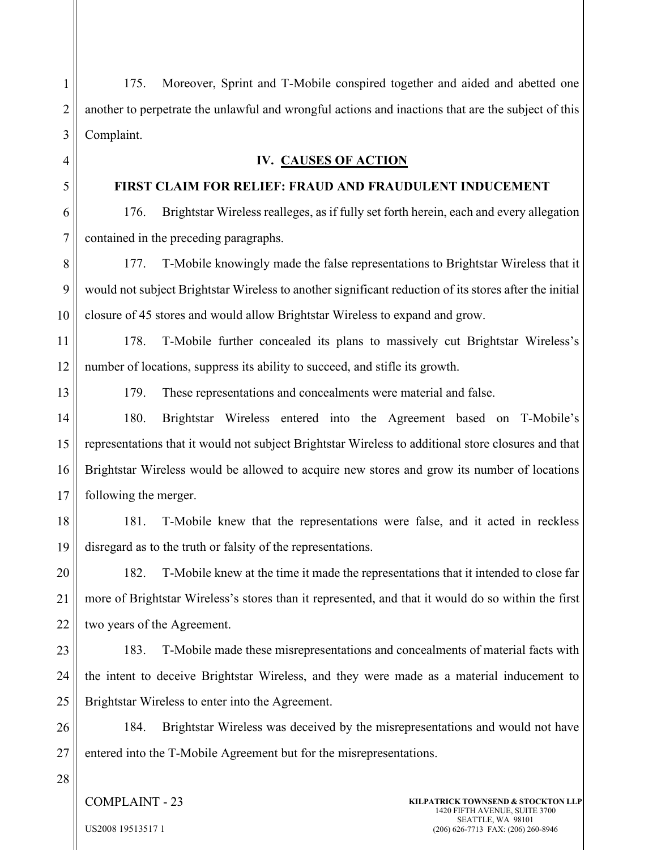175. Moreover, Sprint and T-Mobile conspired together and aided and abetted one another to perpetrate the unlawful and wrongful actions and inactions that are the subject of this Complaint.

#### **IV. CAUSES OF ACTION**

#### **FIRST CLAIM FOR RELIEF: FRAUD AND FRAUDULENT INDUCEMENT**

176. Brightstar Wireless realleges, as if fully set forth herein, each and every allegation contained in the preceding paragraphs.

177. T-Mobile knowingly made the false representations to Brightstar Wireless that it would not subject Brightstar Wireless to another significant reduction of its stores after the initial closure of 45 stores and would allow Brightstar Wireless to expand and grow.

178. T-Mobile further concealed its plans to massively cut Brightstar Wireless's number of locations, suppress its ability to succeed, and stifle its growth.

1

179. These representations and concealments were material and false.

14 15 16 17 180. Brightstar Wireless entered into the Agreement based on T-Mobile's representations that it would not subject Brightstar Wireless to additional store closures and that Brightstar Wireless would be allowed to acquire new stores and grow its number of locations following the merger.

181. T-Mobile knew that the representations were false, and it acted in reckless disregard as to the truth or falsity of the representations.

182. T-Mobile knew at the time it made the representations that it intended to close far more of Brightstar Wireless's stores than it represented, and that it would do so within the first two years of the Agreement.

183. T-Mobile made these misrepresentations and concealments of material facts with the intent to deceive Brightstar Wireless, and they were made as a material inducement to Brightstar Wireless to enter into the Agreement.

26 27 184. Brightstar Wireless was deceived by the misrepresentations and would not have entered into the T-Mobile Agreement but for the misrepresentations.

28

COMPLAINT - 23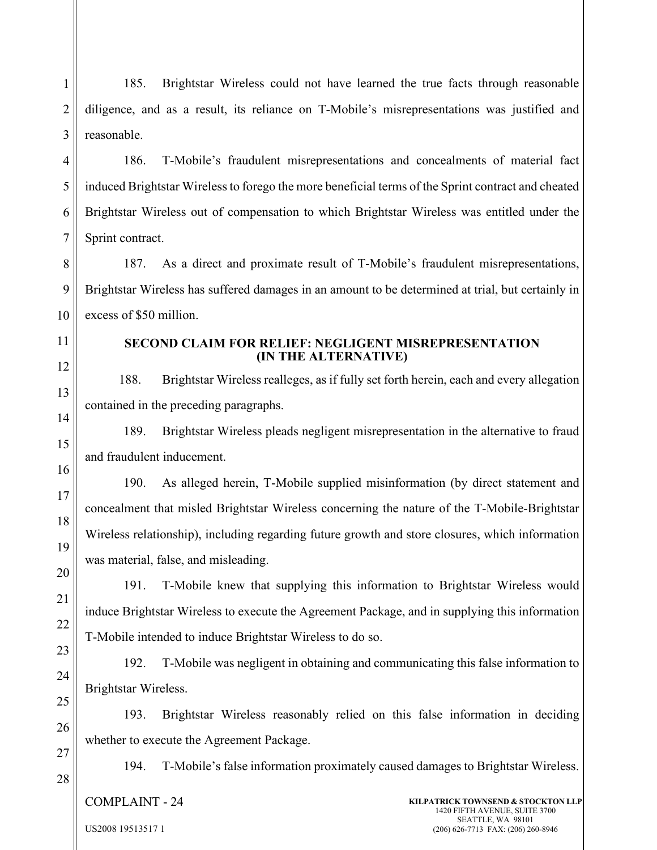1 2 3 185. Brightstar Wireless could not have learned the true facts through reasonable diligence, and as a result, its reliance on T-Mobile's misrepresentations was justified and reasonable.

4 5 6 7 186. T-Mobile's fraudulent misrepresentations and concealments of material fact induced Brightstar Wireless to forego the more beneficial terms of the Sprint contract and cheated Brightstar Wireless out of compensation to which Brightstar Wireless was entitled under the Sprint contract.

8 9 10 187. As a direct and proximate result of T-Mobile's fraudulent misrepresentations, Brightstar Wireless has suffered damages in an amount to be determined at trial, but certainly in excess of \$50 million.

11 12

13

14

15

16

17

18

19

20

21

22

23

24

25

26

### **SECOND CLAIM FOR RELIEF: NEGLIGENT MISREPRESENTATION (IN THE ALTERNATIVE)**

188. Brightstar Wireless realleges, as if fully set forth herein, each and every allegation contained in the preceding paragraphs.

189. Brightstar Wireless pleads negligent misrepresentation in the alternative to fraud and fraudulent inducement.

190. As alleged herein, T-Mobile supplied misinformation (by direct statement and concealment that misled Brightstar Wireless concerning the nature of the T-Mobile-Brightstar Wireless relationship), including regarding future growth and store closures, which information was material, false, and misleading.

191. T-Mobile knew that supplying this information to Brightstar Wireless would induce Brightstar Wireless to execute the Agreement Package, and in supplying this information T-Mobile intended to induce Brightstar Wireless to do so.

192. T-Mobile was negligent in obtaining and communicating this false information to Brightstar Wireless.

193. Brightstar Wireless reasonably relied on this false information in deciding whether to execute the Agreement Package.

27 28

194. T-Mobile's false information proximately caused damages to Brightstar Wireless.

COMPLAINT - 24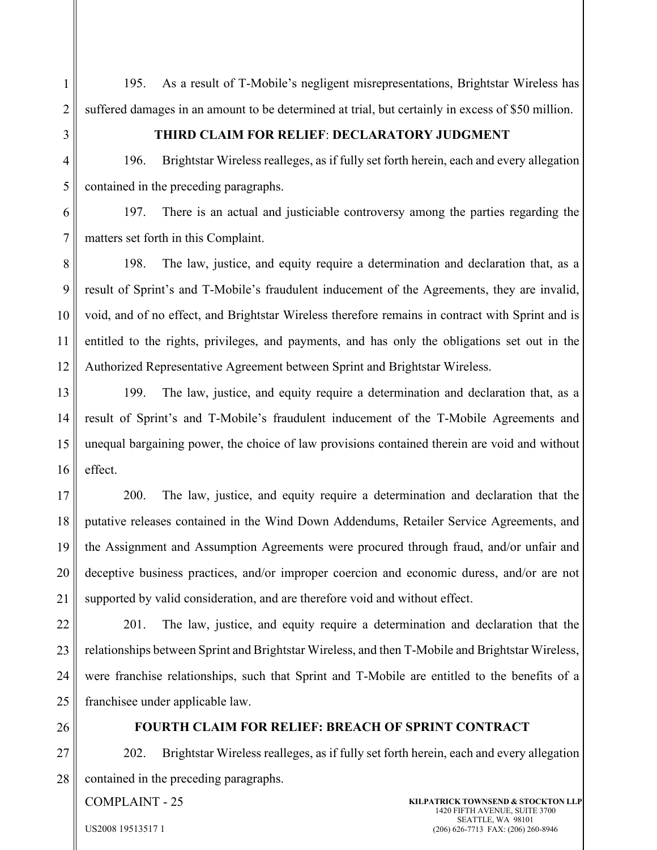195. As a result of T-Mobile's negligent misrepresentations, Brightstar Wireless has suffered damages in an amount to be determined at trial, but certainly in excess of \$50 million.

1

2

3

## **THIRD CLAIM FOR RELIEF**: **DECLARATORY JUDGMENT**

4 5 196. Brightstar Wireless realleges, as if fully set forth herein, each and every allegation contained in the preceding paragraphs.

6 7 197. There is an actual and justiciable controversy among the parties regarding the matters set forth in this Complaint.

8 9 10 11 12 198. The law, justice, and equity require a determination and declaration that, as a result of Sprint's and T-Mobile's fraudulent inducement of the Agreements, they are invalid, void, and of no effect, and Brightstar Wireless therefore remains in contract with Sprint and is entitled to the rights, privileges, and payments, and has only the obligations set out in the Authorized Representative Agreement between Sprint and Brightstar Wireless.

13 14 15 16 199. The law, justice, and equity require a determination and declaration that, as a result of Sprint's and T-Mobile's fraudulent inducement of the T-Mobile Agreements and unequal bargaining power, the choice of law provisions contained therein are void and without effect.

17 18 19 20 21 200. The law, justice, and equity require a determination and declaration that the putative releases contained in the Wind Down Addendums, Retailer Service Agreements, and the Assignment and Assumption Agreements were procured through fraud, and/or unfair and deceptive business practices, and/or improper coercion and economic duress, and/or are not supported by valid consideration, and are therefore void and without effect.

22 23 24 25 201. The law, justice, and equity require a determination and declaration that the relationships between Sprint and Brightstar Wireless, and then T-Mobile and Brightstar Wireless, were franchise relationships, such that Sprint and T-Mobile are entitled to the benefits of a franchisee under applicable law.

26

## **FOURTH CLAIM FOR RELIEF: BREACH OF SPRINT CONTRACT**

27 28 202. Brightstar Wireless realleges, as if fully set forth herein, each and every allegation contained in the preceding paragraphs.

COMPLAINT - 25

**KILPATRICK TOWNSEND & STOCKTON LLP** 1420 FIFTH AVENUE, SUITE 3700 SEATTLE, WA 98101 (206) 626-7713 FAX: (206) 260-8946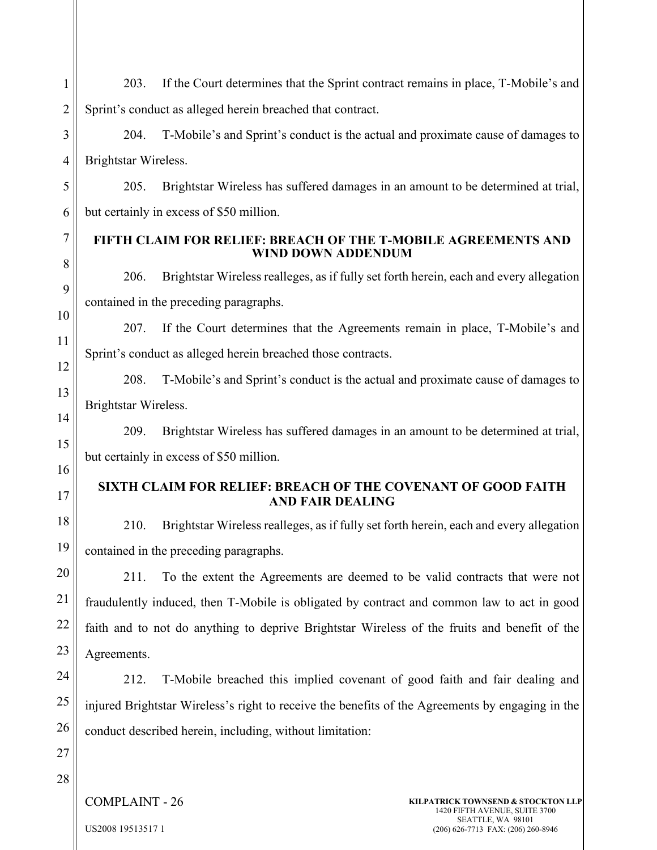2 3 4 5 6 7 8 9 10 11 12 13 14 15 16 17 18 19 20 21 22 23 24 25 27 Sprint's conduct as alleged herein breached that contract. 204. T-Mobile's and Sprint's conduct is the actual and proximate cause of damages to Brightstar Wireless. 205. Brightstar Wireless has suffered damages in an amount to be determined at trial, but certainly in excess of \$50 million. **FIFTH CLAIM FOR RELIEF: BREACH OF THE T-MOBILE AGREEMENTS AND WIND DOWN ADDENDUM** 206. Brightstar Wireless realleges, as if fully set forth herein, each and every allegation contained in the preceding paragraphs. 207. If the Court determines that the Agreements remain in place, T-Mobile's and Sprint's conduct as alleged herein breached those contracts. 208. T-Mobile's and Sprint's conduct is the actual and proximate cause of damages to Brightstar Wireless. 209. Brightstar Wireless has suffered damages in an amount to be determined at trial, but certainly in excess of \$50 million. **SIXTH CLAIM FOR RELIEF: BREACH OF THE COVENANT OF GOOD FAITH AND FAIR DEALING** 210. Brightstar Wireless realleges, as if fully set forth herein, each and every allegation contained in the preceding paragraphs. 211. To the extent the Agreements are deemed to be valid contracts that were not fraudulently induced, then T-Mobile is obligated by contract and common law to act in good faith and to not do anything to deprive Brightstar Wireless of the fruits and benefit of the Agreements. 212. T-Mobile breached this implied covenant of good faith and fair dealing and injured Brightstar Wireless's right to receive the benefits of the Agreements by engaging in the conduct described herein, including, without limitation:

203. If the Court determines that the Sprint contract remains in place, T-Mobile's and

26

1

28

COMPLAINT - 26

US2008 19513517 1

**KILPATRICK TOWNSEND & STOCKTON LLP** 1420 FIFTH AVENUE, SUITE 3700 SEATTLE, WA 98101 (206) 626-7713 FAX: (206) 260-8946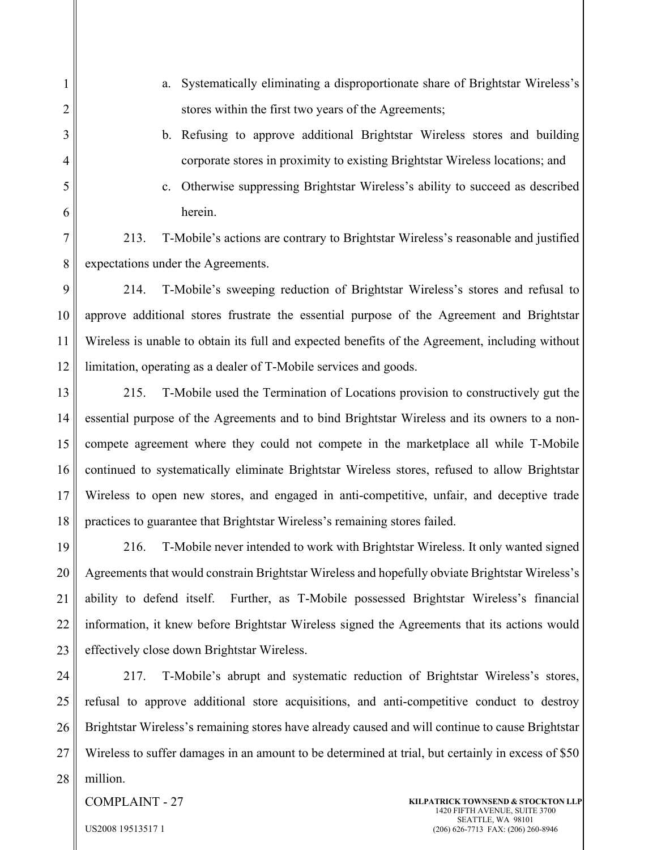1 2 3 4 5 6 7 8 9 10 11 12 13 14 15 16 17 18 a. Systematically eliminating a disproportionate share of Brightstar Wireless's stores within the first two years of the Agreements; b. Refusing to approve additional Brightstar Wireless stores and building corporate stores in proximity to existing Brightstar Wireless locations; and c. Otherwise suppressing Brightstar Wireless's ability to succeed as described herein. 213. T-Mobile's actions are contrary to Brightstar Wireless's reasonable and justified expectations under the Agreements. 214. T-Mobile's sweeping reduction of Brightstar Wireless's stores and refusal to approve additional stores frustrate the essential purpose of the Agreement and Brightstar Wireless is unable to obtain its full and expected benefits of the Agreement, including without limitation, operating as a dealer of T-Mobile services and goods. 215. T-Mobile used the Termination of Locations provision to constructively gut the essential purpose of the Agreements and to bind Brightstar Wireless and its owners to a noncompete agreement where they could not compete in the marketplace all while T-Mobile continued to systematically eliminate Brightstar Wireless stores, refused to allow Brightstar Wireless to open new stores, and engaged in anti-competitive, unfair, and deceptive trade practices to guarantee that Brightstar Wireless's remaining stores failed.

19 20 21 22 23 216. T-Mobile never intended to work with Brightstar Wireless. It only wanted signed Agreements that would constrain Brightstar Wireless and hopefully obviate Brightstar Wireless's ability to defend itself. Further, as T-Mobile possessed Brightstar Wireless's financial information, it knew before Brightstar Wireless signed the Agreements that its actions would effectively close down Brightstar Wireless.

24 25 26 27 28 217. T-Mobile's abrupt and systematic reduction of Brightstar Wireless's stores, refusal to approve additional store acquisitions, and anti-competitive conduct to destroy Brightstar Wireless's remaining stores have already caused and will continue to cause Brightstar Wireless to suffer damages in an amount to be determined at trial, but certainly in excess of \$50 million.

COMPLAINT - 27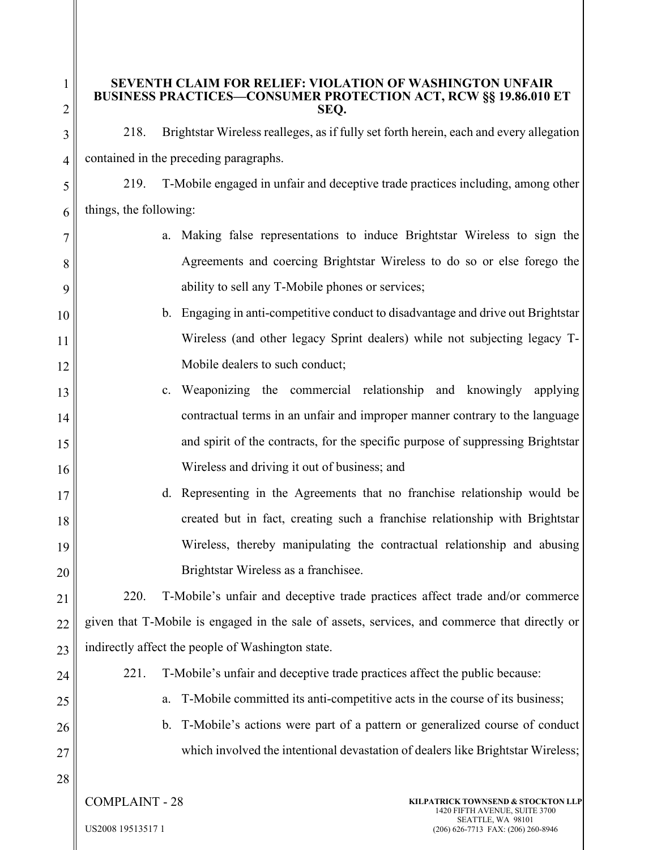## **SEVENTH CLAIM FOR RELIEF: VIOLATION OF WASHINGTON UNFAIR BUSINESS PRACTICES—CONSUMER PROTECTION ACT, RCW §§ 19.86.010 ET SEQ.**

218. Brightstar Wireless realleges, as if fully set forth herein, each and every allegation contained in the preceding paragraphs.

5 6 219. T-Mobile engaged in unfair and deceptive trade practices including, among other things, the following:

- a. Making false representations to induce Brightstar Wireless to sign the Agreements and coercing Brightstar Wireless to do so or else forego the ability to sell any T-Mobile phones or services;
- 10 11 12 b. Engaging in anti-competitive conduct to disadvantage and drive out Brightstar Wireless (and other legacy Sprint dealers) while not subjecting legacy T-Mobile dealers to such conduct;
- 13 14 15 16 c. Weaponizing the commercial relationship and knowingly applying contractual terms in an unfair and improper manner contrary to the language and spirit of the contracts, for the specific purpose of suppressing Brightstar Wireless and driving it out of business; and
	- d. Representing in the Agreements that no franchise relationship would be created but in fact, creating such a franchise relationship with Brightstar Wireless, thereby manipulating the contractual relationship and abusing Brightstar Wireless as a franchisee.

21 22 23 220. T-Mobile's unfair and deceptive trade practices affect trade and/or commerce given that T-Mobile is engaged in the sale of assets, services, and commerce that directly or indirectly affect the people of Washington state.

24 25

26

27

28

17

18

19

20

1

2

3

4

7

8

9

- 221. T-Mobile's unfair and deceptive trade practices affect the public because:
	- a. T-Mobile committed its anti-competitive acts in the course of its business;
- b. T-Mobile's actions were part of a pattern or generalized course of conduct which involved the intentional devastation of dealers like Brightstar Wireless;
- COMPLAINT 28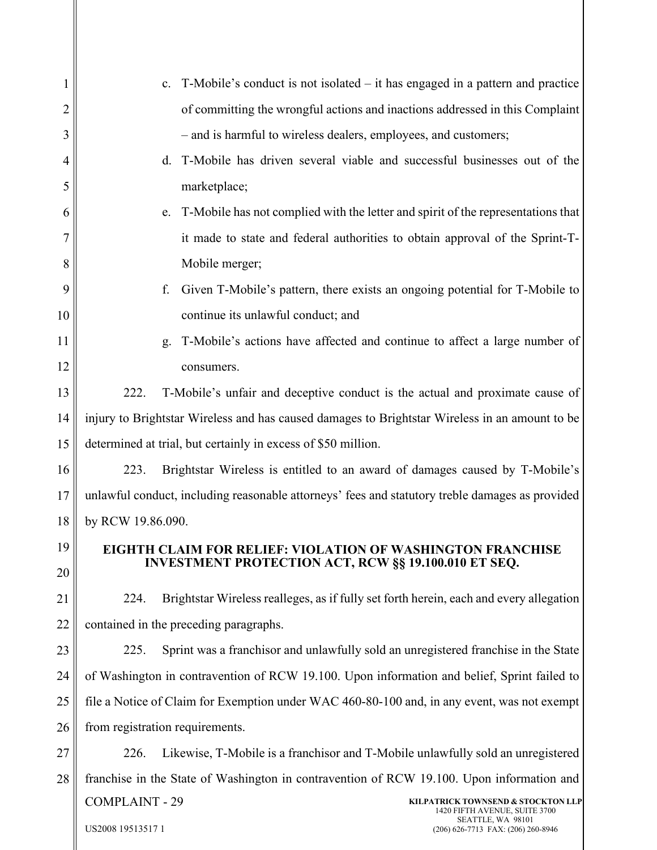| 1  | T-Mobile's conduct is not isolated – it has engaged in a pattern and practice<br>c.             |  |  |
|----|-------------------------------------------------------------------------------------------------|--|--|
| 2  | of committing the wrongful actions and inactions addressed in this Complaint                    |  |  |
| 3  | - and is harmful to wireless dealers, employees, and customers;                                 |  |  |
| 4  | T-Mobile has driven several viable and successful businesses out of the<br>d.                   |  |  |
| 5  | marketplace;                                                                                    |  |  |
| 6  | T-Mobile has not complied with the letter and spirit of the representations that<br>e.          |  |  |
| 7  | it made to state and federal authorities to obtain approval of the Sprint-T-                    |  |  |
| 8  | Mobile merger;                                                                                  |  |  |
| 9  | Given T-Mobile's pattern, there exists an ongoing potential for T-Mobile to<br>f.               |  |  |
| 10 | continue its unlawful conduct; and                                                              |  |  |
| 11 | T-Mobile's actions have affected and continue to affect a large number of<br>g.                 |  |  |
| 12 | consumers.                                                                                      |  |  |
| 13 | 222.<br>T-Mobile's unfair and deceptive conduct is the actual and proximate cause of            |  |  |
| 14 | injury to Brightstar Wireless and has caused damages to Brightstar Wireless in an amount to be  |  |  |
| 15 | determined at trial, but certainly in excess of \$50 million.                                   |  |  |
| 16 | Brightstar Wireless is entitled to an award of damages caused by T-Mobile's<br>223.             |  |  |
| 17 | unlawful conduct, including reasonable attorneys' fees and statutory treble damages as provided |  |  |
| 18 | by RCW 19.86.090.                                                                               |  |  |
| 19 | <b>EIGHTH CLAIM FOR RELIEF: VIOLATION OF WASHINGTON FRANCHISE</b>                               |  |  |
| 20 | <b>INVESTMENT PROTECTION ACT, RCW §§ 19.100.010 ET SEQ.</b>                                     |  |  |
| 21 | Brightstar Wireless realleges, as if fully set forth herein, each and every allegation<br>224.  |  |  |
| 22 | contained in the preceding paragraphs.                                                          |  |  |
| 23 | Sprint was a franchisor and unlawfully sold an unregistered franchise in the State<br>225.      |  |  |
| 24 | of Washington in contravention of RCW 19.100. Upon information and belief, Sprint failed to     |  |  |
| 25 | file a Notice of Claim for Exemption under WAC 460-80-100 and, in any event, was not exempt     |  |  |
| 26 | from registration requirements.                                                                 |  |  |
| 27 | 226.<br>Likewise, T-Mobile is a franchisor and T-Mobile unlawfully sold an unregistered         |  |  |
| 28 | franchise in the State of Washington in contravention of RCW 19.100. Upon information and       |  |  |
|    | <b>COMPLAINT - 29</b><br>KILPATRICK TOWNSEND & STOCKTON LLP<br>1420 FIFTH AVENUE, SUITE 3700    |  |  |
|    | SEATTLE, WA 98101<br>US2008 19513517 1<br>(206) 626-7713 FAX: (206) 260-8946                    |  |  |
|    |                                                                                                 |  |  |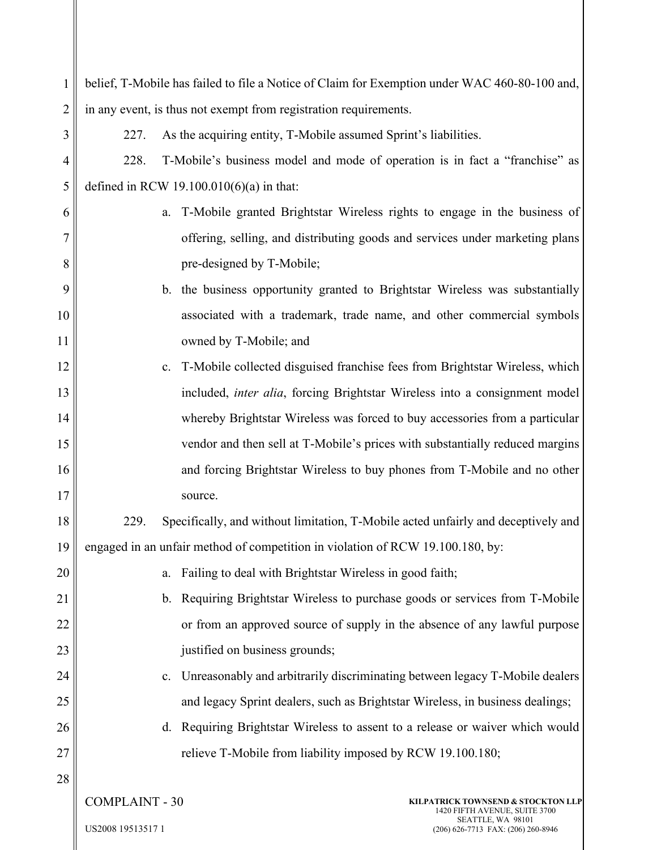| 1              | belief, T-Mobile has failed to file a Notice of Claim for Exemption under WAC 460-80-100 and, |  |  |
|----------------|-----------------------------------------------------------------------------------------------|--|--|
| $\overline{c}$ | in any event, is thus not exempt from registration requirements.                              |  |  |
| 3              | As the acquiring entity, T-Mobile assumed Sprint's liabilities.<br>227.                       |  |  |
| $\overline{4}$ | T-Mobile's business model and mode of operation is in fact a "franchise" as<br>228.           |  |  |
| 5              | defined in RCW 19.100.010(6)(a) in that:                                                      |  |  |
| 6              | T-Mobile granted Brightstar Wireless rights to engage in the business of<br>a.                |  |  |
| 7              | offering, selling, and distributing goods and services under marketing plans                  |  |  |
| 8              | pre-designed by T-Mobile;                                                                     |  |  |
| 9              | b. the business opportunity granted to Brightstar Wireless was substantially                  |  |  |
| 10             | associated with a trademark, trade name, and other commercial symbols                         |  |  |
| 11             | owned by T-Mobile; and                                                                        |  |  |
| 12             | T-Mobile collected disguised franchise fees from Brightstar Wireless, which<br>c.             |  |  |
| 13             | included, inter alia, forcing Brightstar Wireless into a consignment model                    |  |  |
| 14             | whereby Brightstar Wireless was forced to buy accessories from a particular                   |  |  |
| 15             | vendor and then sell at T-Mobile's prices with substantially reduced margins                  |  |  |
| 16             | and forcing Brightstar Wireless to buy phones from T-Mobile and no other                      |  |  |
| 17             | source.                                                                                       |  |  |
| 18             | Specifically, and without limitation, T-Mobile acted unfairly and deceptively and<br>229.     |  |  |
| 19             | engaged in an unfair method of competition in violation of RCW 19.100.180, by:                |  |  |
| 20             | Failing to deal with Brightstar Wireless in good faith;<br>a.                                 |  |  |
| 21             | b. Requiring Brightstar Wireless to purchase goods or services from T-Mobile                  |  |  |
| 22             | or from an approved source of supply in the absence of any lawful purpose                     |  |  |
| 23             | justified on business grounds;                                                                |  |  |
| 24             | Unreasonably and arbitrarily discriminating between legacy T-Mobile dealers<br>c.             |  |  |
| 25             | and legacy Sprint dealers, such as Brightstar Wireless, in business dealings;                 |  |  |
| 26             | d. Requiring Brightstar Wireless to assent to a release or waiver which would                 |  |  |
| 27             | relieve T-Mobile from liability imposed by RCW 19.100.180;                                    |  |  |
| 28             |                                                                                               |  |  |
|                | <b>COMPLAINT - 30</b><br>KILPATRICK TOWNSEND & STOCKTON LLP<br>1420 FIFTH AVENUE, SUITE 3700  |  |  |
|                | SEATTLE, WA 98101<br>US2008 19513517 1<br>(206) 626-7713 FAX: (206) 260-8946                  |  |  |
|                |                                                                                               |  |  |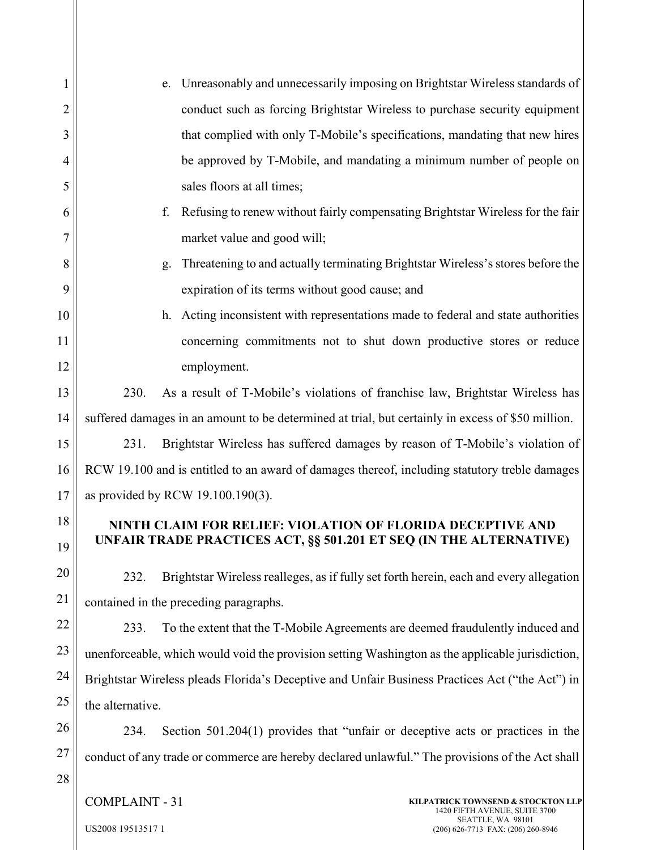| 1  | Unreasonably and unnecessarily imposing on Brightstar Wireless standards of<br>e.                                 |  |  |
|----|-------------------------------------------------------------------------------------------------------------------|--|--|
| 2  | conduct such as forcing Brightstar Wireless to purchase security equipment                                        |  |  |
| 3  | that complied with only T-Mobile's specifications, mandating that new hires                                       |  |  |
| 4  | be approved by T-Mobile, and mandating a minimum number of people on                                              |  |  |
| 5  | sales floors at all times;                                                                                        |  |  |
| 6  | f.<br>Refusing to renew without fairly compensating Brightstar Wireless for the fair                              |  |  |
| 7  | market value and good will;                                                                                       |  |  |
| 8  | Threatening to and actually terminating Brightstar Wireless's stores before the<br>g.                             |  |  |
| 9  | expiration of its terms without good cause; and                                                                   |  |  |
| 10 | Acting inconsistent with representations made to federal and state authorities<br>h.                              |  |  |
| 11 | concerning commitments not to shut down productive stores or reduce                                               |  |  |
| 12 | employment.                                                                                                       |  |  |
| 13 | As a result of T-Mobile's violations of franchise law, Brightstar Wireless has<br>230.                            |  |  |
| 14 | suffered damages in an amount to be determined at trial, but certainly in excess of \$50 million.                 |  |  |
| 15 | Brightstar Wireless has suffered damages by reason of T-Mobile's violation of<br>231.                             |  |  |
| 16 | RCW 19.100 and is entitled to an award of damages thereof, including statutory treble damages                     |  |  |
| 17 | as provided by RCW 19.100.190(3).                                                                                 |  |  |
| 18 | NINTH CLAIM FOR RELIEF: VIOLATION OF FLORIDA DECEPTIVE AND                                                        |  |  |
| 19 | UNFAIR TRADE PRACTICES ACT, §§ 501.201 ET SEQ (IN THE ALTERNATIVE)                                                |  |  |
| 20 | Brightstar Wireless realleges, as if fully set forth herein, each and every allegation<br>232.                    |  |  |
| 21 | contained in the preceding paragraphs.                                                                            |  |  |
| 22 | To the extent that the T-Mobile Agreements are deemed fraudulently induced and<br>233.                            |  |  |
| 23 | unenforceable, which would void the provision setting Washington as the applicable jurisdiction,                  |  |  |
| 24 | Brightstar Wireless pleads Florida's Deceptive and Unfair Business Practices Act ("the Act") in                   |  |  |
| 25 | the alternative.                                                                                                  |  |  |
| 26 | Section $501.204(1)$ provides that "unfair or deceptive acts or practices in the<br>234.                          |  |  |
| 27 | conduct of any trade or commerce are hereby declared unlawful." The provisions of the Act shall                   |  |  |
| 28 |                                                                                                                   |  |  |
|    | <b>COMPLAINT - 31</b><br>KILPATRICK TOWNSEND & STOCKTON LLP<br>1420 FIFTH AVENUE, SUITE 3700<br>SEATTLE, WA 98101 |  |  |
|    | US2008 19513517 1<br>(206) 626-7713 FAX: (206) 260-8946                                                           |  |  |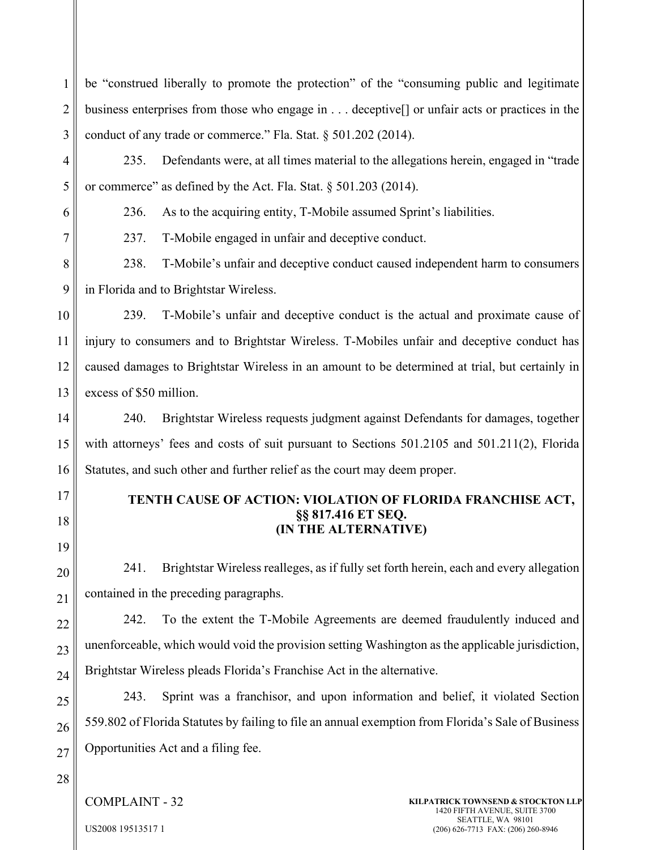1 2 3 be "construed liberally to promote the protection" of the "consuming public and legitimate business enterprises from those who engage in . . . deceptive[] or unfair acts or practices in the conduct of any trade or commerce." Fla. Stat. § 501.202 (2014).

4 5 235. Defendants were, at all times material to the allegations herein, engaged in "trade or commerce" as defined by the Act. Fla. Stat. § 501.203 (2014).

236. As to the acquiring entity, T-Mobile assumed Sprint's liabilities.

237. T-Mobile engaged in unfair and deceptive conduct.

8 9 238. T-Mobile's unfair and deceptive conduct caused independent harm to consumers in Florida and to Brightstar Wireless.

10 11 12 13 239. T-Mobile's unfair and deceptive conduct is the actual and proximate cause of injury to consumers and to Brightstar Wireless. T-Mobiles unfair and deceptive conduct has caused damages to Brightstar Wireless in an amount to be determined at trial, but certainly in excess of \$50 million.

14 15 16 240. Brightstar Wireless requests judgment against Defendants for damages, together with attorneys' fees and costs of suit pursuant to Sections 501.2105 and 501.211(2), Florida Statutes, and such other and further relief as the court may deem proper.

17 18

19

20

21

6

7

# **TENTH CAUSE OF ACTION: VIOLATION OF FLORIDA FRANCHISE ACT, §§ 817.416 ET SEQ. (IN THE ALTERNATIVE)**

241. Brightstar Wireless realleges, as if fully set forth herein, each and every allegation contained in the preceding paragraphs.

22 23 24 242. To the extent the T-Mobile Agreements are deemed fraudulently induced and unenforceable, which would void the provision setting Washington as the applicable jurisdiction, Brightstar Wireless pleads Florida's Franchise Act in the alternative.

25 26 27 243. Sprint was a franchisor, and upon information and belief, it violated Section 559.802 of Florida Statutes by failing to file an annual exemption from Florida's Sale of Business Opportunities Act and a filing fee.

28

COMPLAINT - 32

**KILPATRICK TOWNSEND & STOCKTON LLP** 1420 FIFTH AVENUE, SUITE 3700 SEATTLE, WA 98101 (206) 626-7713 FAX: (206) 260-8946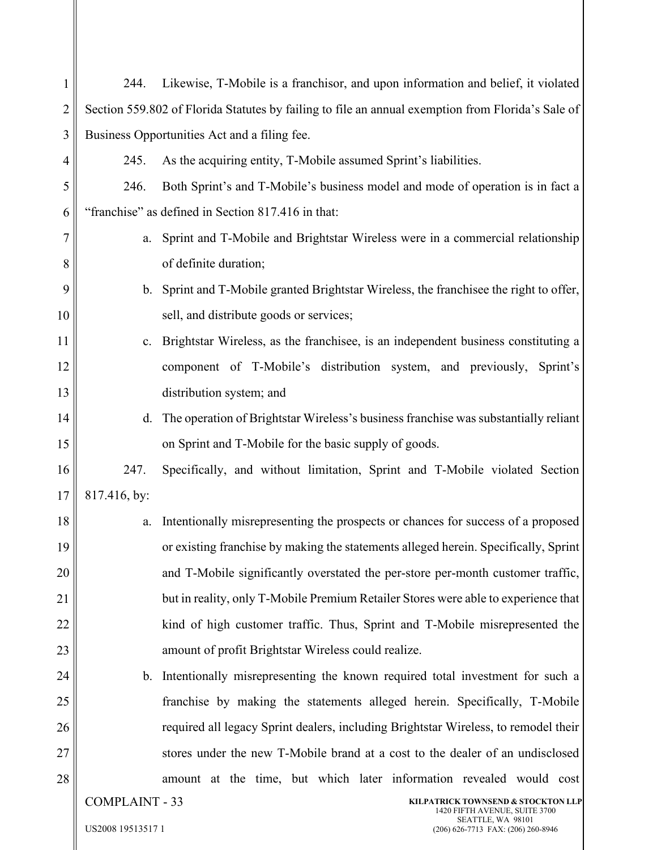| 1              | 244.                                                                                         | Likewise, T-Mobile is a franchisor, and upon information and belief, it violated                  |
|----------------|----------------------------------------------------------------------------------------------|---------------------------------------------------------------------------------------------------|
| $\overline{2}$ |                                                                                              | Section 559.802 of Florida Statutes by failing to file an annual exemption from Florida's Sale of |
| 3              |                                                                                              | Business Opportunities Act and a filing fee.                                                      |
| 4              | 245.                                                                                         | As the acquiring entity, T-Mobile assumed Sprint's liabilities.                                   |
| 5              | 246.                                                                                         | Both Sprint's and T-Mobile's business model and mode of operation is in fact a                    |
| 6              |                                                                                              | "franchise" as defined in Section 817.416 in that:                                                |
| 7              | a.                                                                                           | Sprint and T-Mobile and Brightstar Wireless were in a commercial relationship                     |
| 8              |                                                                                              | of definite duration;                                                                             |
| 9              |                                                                                              | b. Sprint and T-Mobile granted Brightstar Wireless, the franchise the right to offer,             |
| 10             |                                                                                              | sell, and distribute goods or services;                                                           |
| 11             | c.                                                                                           | Brightstar Wireless, as the franchisee, is an independent business constituting a                 |
| 12             |                                                                                              | component of T-Mobile's distribution system, and previously, Sprint's                             |
| 13             |                                                                                              | distribution system; and                                                                          |
| 14             | d.                                                                                           | The operation of Brightstar Wireless's business franchise was substantially reliant               |
| 15             |                                                                                              | on Sprint and T-Mobile for the basic supply of goods.                                             |
| 16             | 247.                                                                                         | Specifically, and without limitation, Sprint and T-Mobile violated Section                        |
| 17             | 817.416, by:                                                                                 |                                                                                                   |
| 18             | a.                                                                                           | Intentionally misrepresenting the prospects or chances for success of a proposed                  |
| 19             |                                                                                              | or existing franchise by making the statements alleged herein. Specifically, Sprint               |
| 20             |                                                                                              | and T-Mobile significantly overstated the per-store per-month customer traffic,                   |
| 21             |                                                                                              | but in reality, only T-Mobile Premium Retailer Stores were able to experience that                |
| 22             |                                                                                              | kind of high customer traffic. Thus, Sprint and T-Mobile misrepresented the                       |
| 23             |                                                                                              | amount of profit Brightstar Wireless could realize.                                               |
| 24             |                                                                                              | b. Intentionally misrepresenting the known required total investment for such a                   |
| 25             |                                                                                              | franchise by making the statements alleged herein. Specifically, T-Mobile                         |
| 26             |                                                                                              | required all legacy Sprint dealers, including Brightstar Wireless, to remodel their               |
| 27             |                                                                                              | stores under the new T-Mobile brand at a cost to the dealer of an undisclosed                     |
| 28             |                                                                                              | amount at the time, but which later information revealed would cost                               |
|                | <b>COMPLAINT - 33</b><br>KILPATRICK TOWNSEND & STOCKTON LLP<br>1420 FIFTH AVENUE, SUITE 3700 |                                                                                                   |
|                | US2008 19513517 1                                                                            | SEATTLE, WA 98101<br>(206) 626-7713 FAX: (206) 260-8946                                           |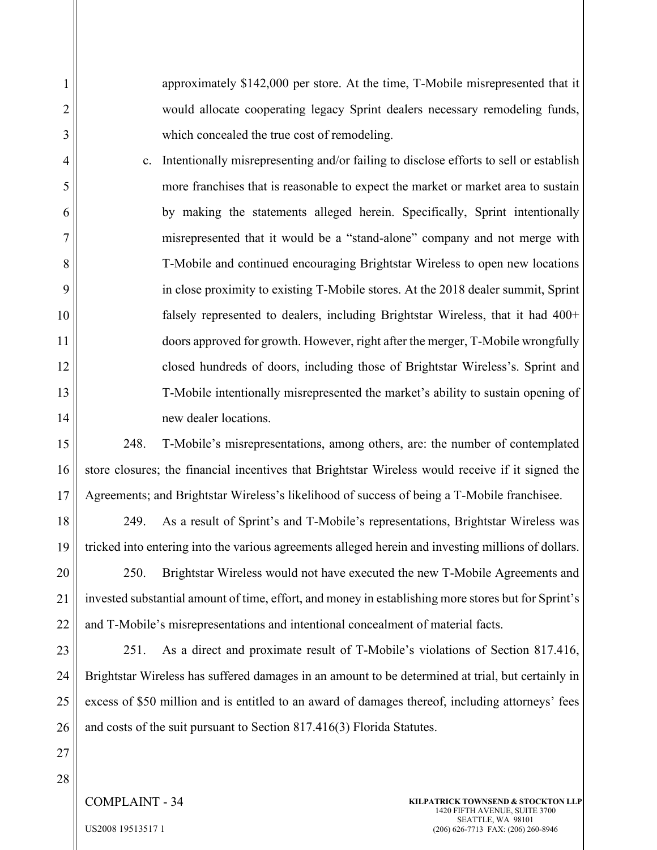approximately \$142,000 per store. At the time, T-Mobile misrepresented that it would allocate cooperating legacy Sprint dealers necessary remodeling funds, which concealed the true cost of remodeling.

c. Intentionally misrepresenting and/or failing to disclose efforts to sell or establish more franchises that is reasonable to expect the market or market area to sustain by making the statements alleged herein. Specifically, Sprint intentionally misrepresented that it would be a "stand-alone" company and not merge with T-Mobile and continued encouraging Brightstar Wireless to open new locations in close proximity to existing T-Mobile stores. At the 2018 dealer summit, Sprint falsely represented to dealers, including Brightstar Wireless, that it had 400+ doors approved for growth. However, right after the merger, T-Mobile wrongfully closed hundreds of doors, including those of Brightstar Wireless's. Sprint and T-Mobile intentionally misrepresented the market's ability to sustain opening of new dealer locations.

15 16 17 248. T-Mobile's misrepresentations, among others, are: the number of contemplated store closures; the financial incentives that Brightstar Wireless would receive if it signed the Agreements; and Brightstar Wireless's likelihood of success of being a T-Mobile franchisee.

18 19 249. As a result of Sprint's and T-Mobile's representations, Brightstar Wireless was tricked into entering into the various agreements alleged herein and investing millions of dollars.

20 21 22 250. Brightstar Wireless would not have executed the new T-Mobile Agreements and invested substantial amount of time, effort, and money in establishing more stores but for Sprint's and T-Mobile's misrepresentations and intentional concealment of material facts.

23 24 25 26 251. As a direct and proximate result of T-Mobile's violations of Section 817.416, Brightstar Wireless has suffered damages in an amount to be determined at trial, but certainly in excess of \$50 million and is entitled to an award of damages thereof, including attorneys' fees and costs of the suit pursuant to Section 817.416(3) Florida Statutes.

27 28

1

2

3

4

5

6

7

8

9

10

11

12

13

14

COMPLAINT - 34

**KILPATRICK TOWNSEND & STOCKTON LLP** 1420 FIFTH AVENUE, SUITE 3700 SEATTLE, WA 98101 (206) 626-7713 FAX: (206) 260-8946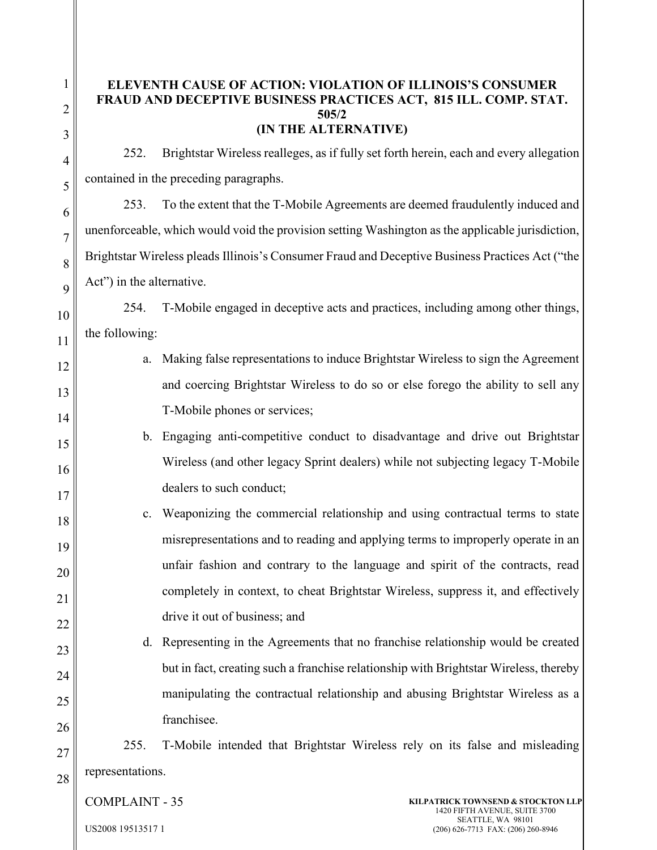26

# **ELEVENTH CAUSE OF ACTION: VIOLATION OF ILLINOIS'S CONSUMER FRAUD AND DECEPTIVE BUSINESS PRACTICES ACT, 815 ILL. COMP. STAT. 505/2 (IN THE ALTERNATIVE)**

252. Brightstar Wireless realleges, as if fully set forth herein, each and every allegation contained in the preceding paragraphs.

253. To the extent that the T-Mobile Agreements are deemed fraudulently induced and unenforceable, which would void the provision setting Washington as the applicable jurisdiction, Brightstar Wireless pleads Illinois's Consumer Fraud and Deceptive Business Practices Act ("the Act") in the alternative.

254. T-Mobile engaged in deceptive acts and practices, including among other things, the following:

- a. Making false representations to induce Brightstar Wireless to sign the Agreement and coercing Brightstar Wireless to do so or else forego the ability to sell any T-Mobile phones or services;
- b. Engaging anti-competitive conduct to disadvantage and drive out Brightstar Wireless (and other legacy Sprint dealers) while not subjecting legacy T-Mobile dealers to such conduct;
- c. Weaponizing the commercial relationship and using contractual terms to state misrepresentations and to reading and applying terms to improperly operate in an unfair fashion and contrary to the language and spirit of the contracts, read completely in context, to cheat Brightstar Wireless, suppress it, and effectively drive it out of business; and
- d. Representing in the Agreements that no franchise relationship would be created but in fact, creating such a franchise relationship with Brightstar Wireless, thereby manipulating the contractual relationship and abusing Brightstar Wireless as a franchisee.

27 28 255. T-Mobile intended that Brightstar Wireless rely on its false and misleading representations.

COMPLAINT - 35

**KILPATRICK TOWNSEND & STOCKTON LLP** 1420 FIFTH AVENUE, SUITE 3700 SEATTLE, WA 98101 (206) 626-7713 FAX: (206) 260-8946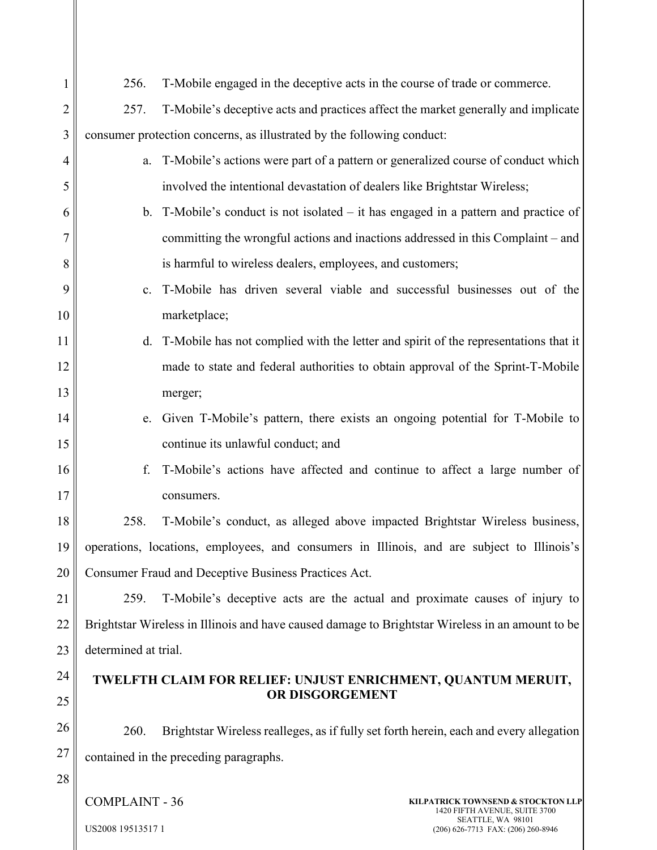| 1              | 256.                                                                                             | T-Mobile engaged in the deceptive acts in the course of trade or commerce.               |  |
|----------------|--------------------------------------------------------------------------------------------------|------------------------------------------------------------------------------------------|--|
| $\overline{2}$ | 257.                                                                                             | T-Mobile's deceptive acts and practices affect the market generally and implicate        |  |
| 3              | consumer protection concerns, as illustrated by the following conduct:                           |                                                                                          |  |
| $\overline{4}$ | a.                                                                                               | T-Mobile's actions were part of a pattern or generalized course of conduct which         |  |
| 5              |                                                                                                  | involved the intentional devastation of dealers like Brightstar Wireless;                |  |
| 6              |                                                                                                  | b. T-Mobile's conduct is not isolated $-$ it has engaged in a pattern and practice of    |  |
| 7              |                                                                                                  | committing the wrongful actions and inactions addressed in this Complaint – and          |  |
| 8              |                                                                                                  | is harmful to wireless dealers, employees, and customers;                                |  |
| 9              | $c_{\cdot}$                                                                                      | T-Mobile has driven several viable and successful businesses out of the                  |  |
| 10             |                                                                                                  | marketplace;                                                                             |  |
| 11             |                                                                                                  | d. T-Mobile has not complied with the letter and spirit of the representations that it   |  |
| 12             |                                                                                                  | made to state and federal authorities to obtain approval of the Sprint-T-Mobile          |  |
| 13             |                                                                                                  | merger;                                                                                  |  |
| 14             | e.                                                                                               | Given T-Mobile's pattern, there exists an ongoing potential for T-Mobile to              |  |
| 15             |                                                                                                  | continue its unlawful conduct; and                                                       |  |
| 16             | f.                                                                                               | T-Mobile's actions have affected and continue to affect a large number of                |  |
| 17             |                                                                                                  | consumers.                                                                               |  |
| 18             | 258.                                                                                             | T-Mobile's conduct, as alleged above impacted Brightstar Wireless business,              |  |
| 19             | operations, locations, employees, and consumers in Illinois, and are subject to Illinois's       |                                                                                          |  |
| 20             |                                                                                                  | Consumer Fraud and Deceptive Business Practices Act.                                     |  |
| 21             | 259.                                                                                             | T-Mobile's deceptive acts are the actual and proximate causes of injury to               |  |
| 22             | Brightstar Wireless in Illinois and have caused damage to Brightstar Wireless in an amount to be |                                                                                          |  |
| 23             | determined at trial.                                                                             |                                                                                          |  |
| 24             | TWELFTH CLAIM FOR RELIEF: UNJUST ENRICHMENT, QUANTUM MERUIT,                                     |                                                                                          |  |
| 25             |                                                                                                  | OR DISGORGEMENT                                                                          |  |
| 26             | 260.                                                                                             | Brightstar Wireless realleges, as if fully set forth herein, each and every allegation   |  |
| 27             |                                                                                                  | contained in the preceding paragraphs.                                                   |  |
| 28             |                                                                                                  |                                                                                          |  |
|                | <b>COMPLAINT - 36</b>                                                                            | KILPATRICK TOWNSEND & STOCKTON LLP<br>1420 FIFTH AVENUE, SUITE 3700<br>SEATTLE, WA 98101 |  |
|                | US2008 19513517 1                                                                                | (206) 626-7713 FAX: (206) 260-8946                                                       |  |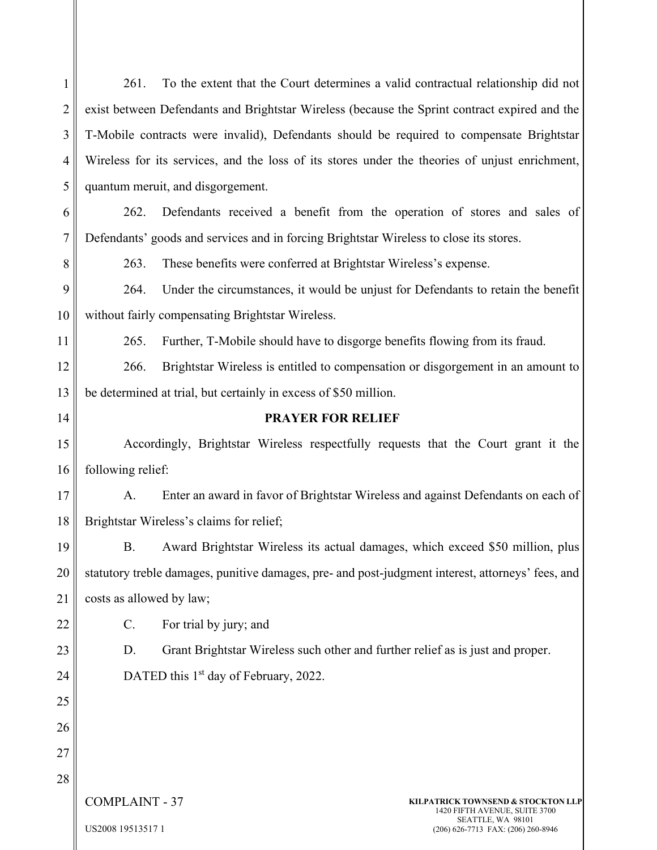| $\mathbf{1}$   | To the extent that the Court determines a valid contractual relationship did not<br>261.                          |  |  |
|----------------|-------------------------------------------------------------------------------------------------------------------|--|--|
| $\overline{2}$ | exist between Defendants and Brightstar Wireless (because the Sprint contract expired and the                     |  |  |
| 3              | T-Mobile contracts were invalid), Defendants should be required to compensate Brightstar                          |  |  |
| 4              | Wireless for its services, and the loss of its stores under the theories of unjust enrichment,                    |  |  |
| 5              | quantum meruit, and disgorgement.                                                                                 |  |  |
| 6              | 262.<br>Defendants received a benefit from the operation of stores and sales of                                   |  |  |
| 7              | Defendants' goods and services and in forcing Brightstar Wireless to close its stores.                            |  |  |
| 8              | 263.<br>These benefits were conferred at Brightstar Wireless's expense.                                           |  |  |
| 9              | Under the circumstances, it would be unjust for Defendants to retain the benefit<br>264.                          |  |  |
| 10             | without fairly compensating Brightstar Wireless.                                                                  |  |  |
| 11             | 265.<br>Further, T-Mobile should have to disgorge benefits flowing from its fraud.                                |  |  |
| 12             | Brightstar Wireless is entitled to compensation or disgorgement in an amount to<br>266.                           |  |  |
| 13             | be determined at trial, but certainly in excess of \$50 million.                                                  |  |  |
| 14             | <b>PRAYER FOR RELIEF</b>                                                                                          |  |  |
| 15             | Accordingly, Brightstar Wireless respectfully requests that the Court grant it the                                |  |  |
| 16             | following relief:                                                                                                 |  |  |
| 17             | Enter an award in favor of Brightstar Wireless and against Defendants on each of<br>A.                            |  |  |
| 18             | Brightstar Wireless's claims for relief;                                                                          |  |  |
| 19             | B. Award Brightstar Wireless its actual damages, which exceed \$50 million, plus                                  |  |  |
| 20             | statutory treble damages, punitive damages, pre- and post-judgment interest, attorneys' fees, and                 |  |  |
| 21             | costs as allowed by law;                                                                                          |  |  |
| 22             | For trial by jury; and<br>C.                                                                                      |  |  |
| 23             | Grant Brightstar Wireless such other and further relief as is just and proper.<br>D.                              |  |  |
| 24             | DATED this 1 <sup>st</sup> day of February, 2022.                                                                 |  |  |
| 25             |                                                                                                                   |  |  |
| 26             |                                                                                                                   |  |  |
| 27             |                                                                                                                   |  |  |
| 28             |                                                                                                                   |  |  |
|                | <b>COMPLAINT - 37</b><br>KILPATRICK TOWNSEND & STOCKTON LLP<br>1420 FIFTH AVENUE, SUITE 3700<br>SEATTLE, WA 98101 |  |  |
|                | US2008 19513517 1<br>(206) 626-7713 FAX: (206) 260-8946                                                           |  |  |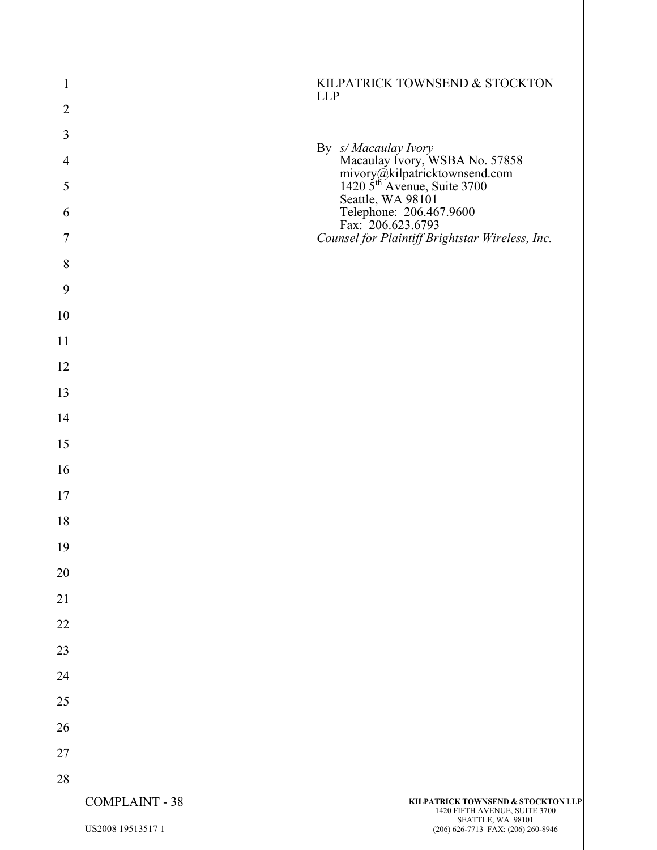| 1              |                       | KILPATRICK TOWNSEND & STOCKTON                                                                                                                                                                                                           |
|----------------|-----------------------|------------------------------------------------------------------------------------------------------------------------------------------------------------------------------------------------------------------------------------------|
| $\sqrt{2}$     | <b>LLP</b>            |                                                                                                                                                                                                                                          |
| $\mathfrak{Z}$ |                       |                                                                                                                                                                                                                                          |
| $\overline{4}$ |                       |                                                                                                                                                                                                                                          |
| 5              |                       | By $\frac{S/Macaulay \, Nory}{\text{Macaulay \,loy}}$<br>Macaulay Ivory, WSBA No. 57858<br>mivory@kilpatricktownsend.com<br>1420 5 <sup>th</sup> Avenue, Suite 3700<br>Seattle, WA 98101<br>Telephone: 206.467.9600<br>Fax: 206.623.6793 |
| 6              |                       |                                                                                                                                                                                                                                          |
| $\overline{7}$ |                       | Counsel for Plaintiff Brightstar Wireless, Inc.                                                                                                                                                                                          |
| $8\,$          |                       |                                                                                                                                                                                                                                          |
| 9              |                       |                                                                                                                                                                                                                                          |
| 10             |                       |                                                                                                                                                                                                                                          |
| 11             |                       |                                                                                                                                                                                                                                          |
| 12             |                       |                                                                                                                                                                                                                                          |
| 13             |                       |                                                                                                                                                                                                                                          |
| 14             |                       |                                                                                                                                                                                                                                          |
| 15             |                       |                                                                                                                                                                                                                                          |
| 16             |                       |                                                                                                                                                                                                                                          |
| 17             |                       |                                                                                                                                                                                                                                          |
| 18             |                       |                                                                                                                                                                                                                                          |
| 19             |                       |                                                                                                                                                                                                                                          |
| 20             |                       |                                                                                                                                                                                                                                          |
| 21             |                       |                                                                                                                                                                                                                                          |
| 22             |                       |                                                                                                                                                                                                                                          |
| 23             |                       |                                                                                                                                                                                                                                          |
| 24             |                       |                                                                                                                                                                                                                                          |
| 25             |                       |                                                                                                                                                                                                                                          |
| 26             |                       |                                                                                                                                                                                                                                          |
| 27             |                       |                                                                                                                                                                                                                                          |
| 28             | <b>COMPLAINT - 38</b> | KILPATRICK TOWNSEND & STOCKTON LLP                                                                                                                                                                                                       |
|                |                       | 1420 FIFTH AVENUE, SUITE 3700<br>SEATTLE, WA 98101                                                                                                                                                                                       |
|                | US2008 19513517 1     | (206) 626-7713 FAX: (206) 260-8946                                                                                                                                                                                                       |

 $\parallel$